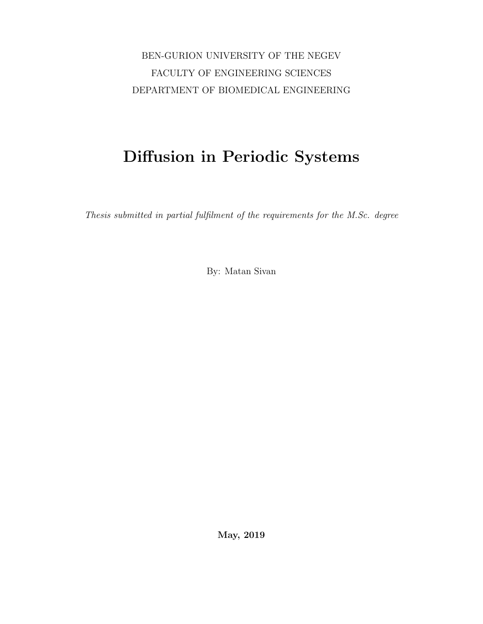BEN-GURION UNIVERSITY OF THE NEGEV FACULTY OF ENGINEERING SCIENCES DEPARTMENT OF BIOMEDICAL ENGINEERING

## Diffusion in Periodic Systems

Thesis submitted in partial fulfilment of the requirements for the M.Sc. degree

By: Matan Sivan

May, 2019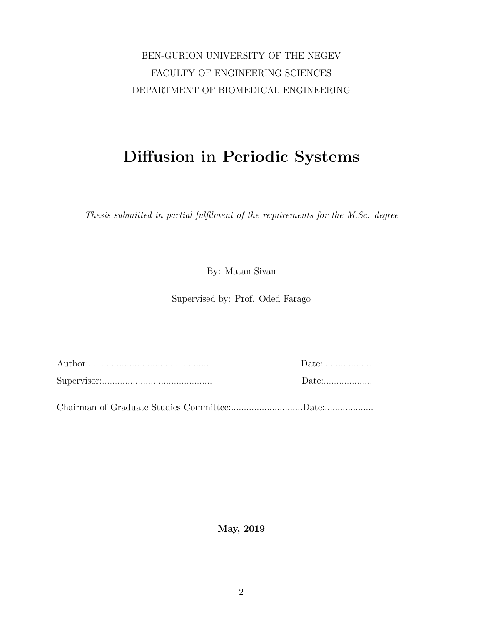### BEN-GURION UNIVERSITY OF THE NEGEV FACULTY OF ENGINEERING SCIENCES DEPARTMENT OF BIOMEDICAL ENGINEERING

## Diffusion in Periodic Systems

Thesis submitted in partial fulfilment of the requirements for the M.Sc. degree

By: Matan Sivan

Supervised by: Prof. Oded Farago

Author:................................................ Date:................... Supervisor:........................................... Date:...................

Chairman of Graduate Studies Committee:............................Date:...................

May, 2019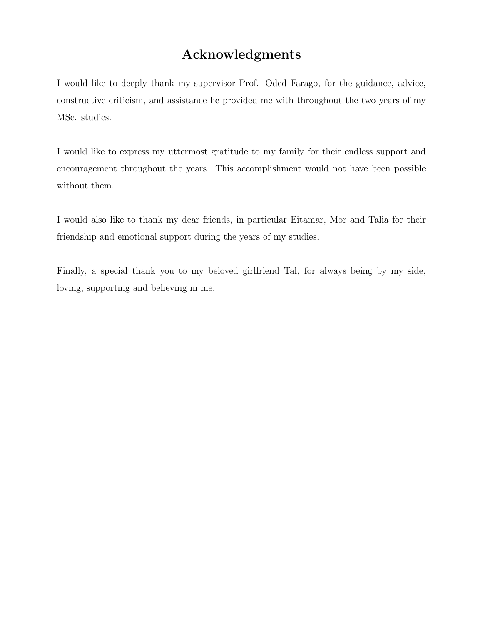### Acknowledgments

I would like to deeply thank my supervisor Prof. Oded Farago, for the guidance, advice, constructive criticism, and assistance he provided me with throughout the two years of my MSc. studies.

I would like to express my uttermost gratitude to my family for their endless support and encouragement throughout the years. This accomplishment would not have been possible without them.

I would also like to thank my dear friends, in particular Eitamar, Mor and Talia for their friendship and emotional support during the years of my studies.

Finally, a special thank you to my beloved girlfriend Tal, for always being by my side, loving, supporting and believing in me.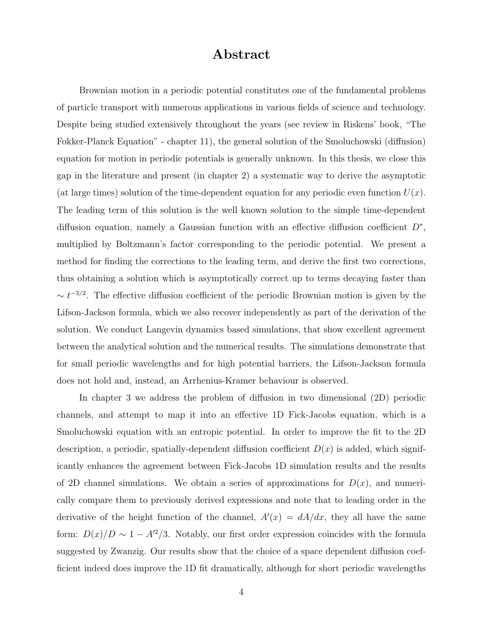### Abstract

Brownian motion in a periodic potential constitutes one of the fundamental problems of particle transport with numerous applications in various fields of science and technology. Despite being studied extensively throughout the years (see review in Riskens' book, "The Fokker-Planck Equation" - chapter 11), the general solution of the Smoluchowski (diffusion) equation for motion in periodic potentials is generally unknown. In this thesis, we close this gap in the literature and present (in chapter 2) a systematic way to derive the asymptotic (at large times) solution of the time-dependent equation for any periodic even function  $U(x)$ . The leading term of this solution is the well known solution to the simple time-dependent diffusion equation, namely a Gaussian function with an effective diffusion coefficient  $D^*$ , multiplied by Boltzmann's factor corresponding to the periodic potential. We present a method for finding the corrections to the leading term, and derive the first two corrections, thus obtaining a solution which is asymptotically correct up to terms decaying faster than  $\sim t^{-3/2}$ . The effective diffusion coefficient of the periodic Brownian motion is given by the Lifson-Jackson formula, which we also recover independently as part of the derivation of the solution. We conduct Langevin dynamics based simulations, that show excellent agreement between the analytical solution and the numerical results. The simulations demonstrate that for small periodic wavelengths and for high potential barriers, the Lifson-Jackson formula does not hold and, instead, an Arrhenius-Kramer behaviour is observed.

In chapter 3 we address the problem of diffusion in two dimensional (2D) periodic channels, and attempt to map it into an effective 1D Fick-Jacobs equation, which is a Smoluchowski equation with an entropic potential. In order to improve the fit to the 2D description, a periodic, spatially-dependent diffusion coefficient  $D(x)$  is added, which significantly enhances the agreement between Fick-Jacobs 1D simulation results and the results of 2D channel simulations. We obtain a series of approximations for  $D(x)$ , and numerically compare them to previously derived expressions and note that to leading order in the derivative of the height function of the channel,  $A'(x) = dA/dx$ , they all have the same form:  $D(x)/D \sim 1 - A'^2/3$ . Notably, our first order expression coincides with the formula suggested by Zwanzig. Our results show that the choice of a space dependent diffusion coefficient indeed does improve the 1D fit dramatically, although for short periodic wavelengths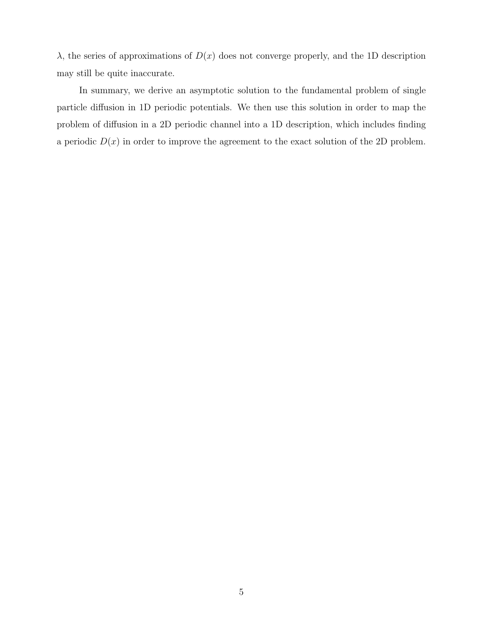$λ$ , the series of approximations of  $D(x)$  does not converge properly, and the 1D description may still be quite inaccurate.

In summary, we derive an asymptotic solution to the fundamental problem of single particle diffusion in 1D periodic potentials. We then use this solution in order to map the problem of diffusion in a 2D periodic channel into a 1D description, which includes finding a periodic  $D(x)$  in order to improve the agreement to the exact solution of the 2D problem.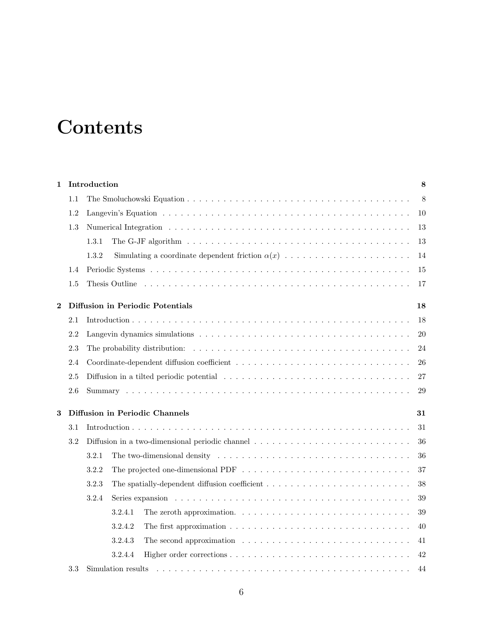# **Contents**

| $\mathbf{1}$                                       |                                | Introduction                                                                                                            |    |  |  |
|----------------------------------------------------|--------------------------------|-------------------------------------------------------------------------------------------------------------------------|----|--|--|
|                                                    | 1.1                            |                                                                                                                         | 8  |  |  |
|                                                    | 1.2                            |                                                                                                                         | 10 |  |  |
|                                                    | 1.3                            |                                                                                                                         | 13 |  |  |
|                                                    |                                | 1.3.1                                                                                                                   | 13 |  |  |
|                                                    |                                | Simulating a coordinate dependent friction $\alpha(x)$ ,<br>1.3.2                                                       | 14 |  |  |
| 1.4                                                |                                |                                                                                                                         | 15 |  |  |
|                                                    | 1.5                            |                                                                                                                         | 17 |  |  |
| Diffusion in Periodic Potentials<br>$\overline{2}$ |                                |                                                                                                                         |    |  |  |
|                                                    | 2.1                            |                                                                                                                         | 18 |  |  |
|                                                    | 2.2                            |                                                                                                                         | 20 |  |  |
| 2.3                                                |                                |                                                                                                                         | 24 |  |  |
| 2.4                                                |                                |                                                                                                                         |    |  |  |
|                                                    | 2.5                            |                                                                                                                         |    |  |  |
|                                                    | 2.6                            |                                                                                                                         | 29 |  |  |
| 3                                                  | Diffusion in Periodic Channels |                                                                                                                         |    |  |  |
|                                                    | 3.1                            |                                                                                                                         | 31 |  |  |
|                                                    | 3.2                            | Diffusion in a two-dimensional periodic channel $\ldots \ldots \ldots \ldots \ldots \ldots \ldots \ldots \ldots \ldots$ | 36 |  |  |
|                                                    |                                | 3.2.1                                                                                                                   | 36 |  |  |
|                                                    |                                | 3.2.2                                                                                                                   | 37 |  |  |
|                                                    |                                | 3.2.3                                                                                                                   | 38 |  |  |
|                                                    |                                | Series expansion $\ldots \ldots \ldots \ldots \ldots \ldots \ldots \ldots \ldots \ldots \ldots \ldots \ldots$<br>3.2.4  | 39 |  |  |
|                                                    |                                | 3.2.4.1<br>The zeroth approximation. $\ldots \ldots \ldots \ldots \ldots \ldots \ldots \ldots \ldots \ldots$            | 39 |  |  |
|                                                    |                                | 3.2.4.2                                                                                                                 | 40 |  |  |
|                                                    |                                | The second approximation $\ldots \ldots \ldots \ldots \ldots \ldots \ldots \ldots \ldots$<br>3.2.4.3                    | 41 |  |  |
|                                                    |                                | 3.2.4.4                                                                                                                 | 42 |  |  |
|                                                    | 3.3                            | Simulation results<br>44                                                                                                |    |  |  |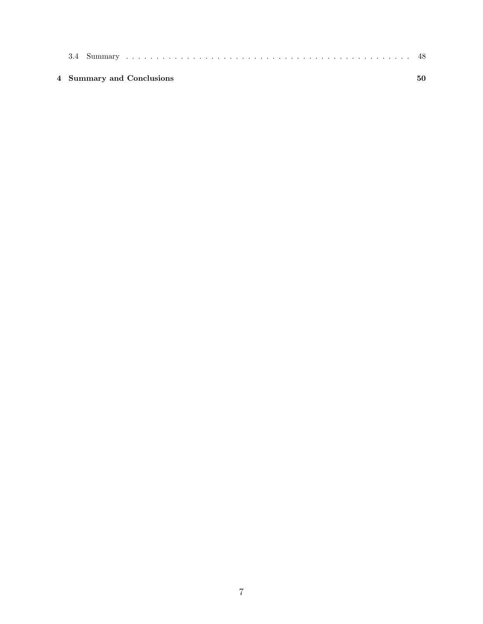| 4 Summary and Conclusions |  |
|---------------------------|--|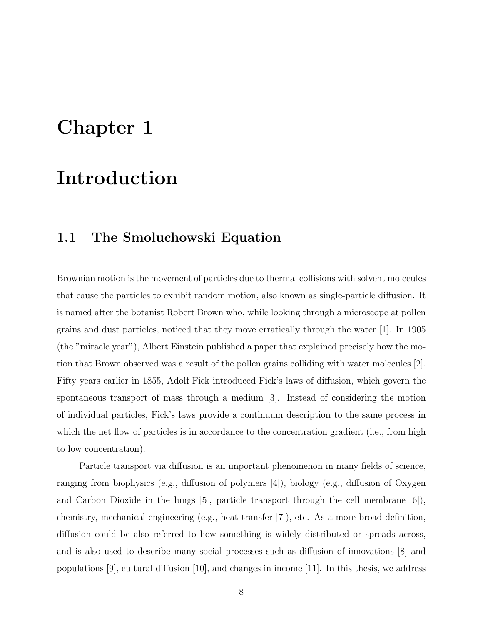## Chapter 1

## Introduction

### 1.1 The Smoluchowski Equation

Brownian motion is the movement of particles due to thermal collisions with solvent molecules that cause the particles to exhibit random motion, also known as single-particle diffusion. It is named after the botanist Robert Brown who, while looking through a microscope at pollen grains and dust particles, noticed that they move erratically through the water [1]. In 1905 (the "miracle year"), Albert Einstein published a paper that explained precisely how the motion that Brown observed was a result of the pollen grains colliding with water molecules [2]. Fifty years earlier in 1855, Adolf Fick introduced Fick's laws of diffusion, which govern the spontaneous transport of mass through a medium [3]. Instead of considering the motion of individual particles, Fick's laws provide a continuum description to the same process in which the net flow of particles is in accordance to the concentration gradient (i.e., from high to low concentration).

Particle transport via diffusion is an important phenomenon in many fields of science, ranging from biophysics (e.g., diffusion of polymers [4]), biology (e.g., diffusion of Oxygen and Carbon Dioxide in the lungs  $[5]$ , particle transport through the cell membrane  $[6]$ ), chemistry, mechanical engineering (e.g., heat transfer [7]), etc. As a more broad definition, diffusion could be also referred to how something is widely distributed or spreads across, and is also used to describe many social processes such as diffusion of innovations [8] and populations [9], cultural diffusion [10], and changes in income [11]. In this thesis, we address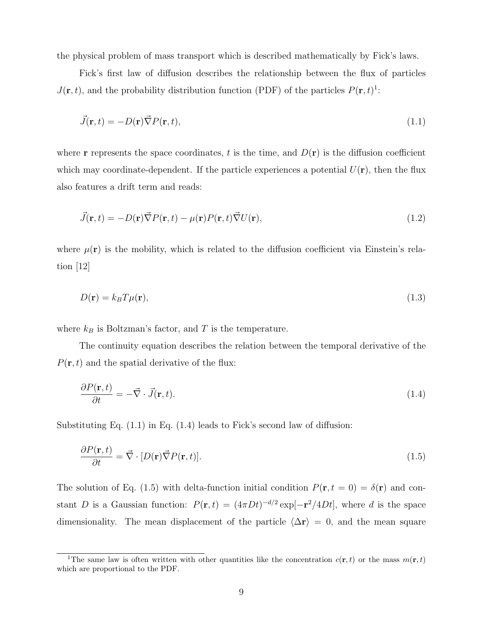the physical problem of mass transport which is described mathematically by Fick's laws.

Fick's first law of diffusion describes the relationship between the flux of particles  $J(\mathbf{r},t)$ , and the probability distribution function (PDF) of the particles  $P(\mathbf{r},t)$ <sup>1</sup>:

$$
\vec{J}(\mathbf{r},t) = -D(\mathbf{r})\vec{\nabla}P(\mathbf{r},t),\tag{1.1}
$$

where **r** represents the space coordinates, t is the time, and  $D(\mathbf{r})$  is the diffusion coefficient which may coordinate-dependent. If the particle experiences a potential  $U(\mathbf{r})$ , then the flux also features a drift term and reads:

$$
\vec{J}(\mathbf{r},t) = -D(\mathbf{r})\vec{\nabla}P(\mathbf{r},t) - \mu(\mathbf{r})P(\mathbf{r},t)\vec{\nabla}U(\mathbf{r}),
$$
\n(1.2)

where  $\mu(\mathbf{r})$  is the mobility, which is related to the diffusion coefficient via Einstein's relation [12]

$$
D(\mathbf{r}) = k_B T \mu(\mathbf{r}),\tag{1.3}
$$

where  $k_B$  is Boltzman's factor, and T is the temperature.

The continuity equation describes the relation between the temporal derivative of the  $P(\mathbf{r}, t)$  and the spatial derivative of the flux:

$$
\frac{\partial P(\mathbf{r},t)}{\partial t} = -\vec{\nabla} \cdot \vec{J}(\mathbf{r},t). \tag{1.4}
$$

Substituting Eq. (1.1) in Eq. (1.4) leads to Fick's second law of diffusion:

$$
\frac{\partial P(\mathbf{r},t)}{\partial t} = \vec{\nabla} \cdot [D(\mathbf{r}) \vec{\nabla} P(\mathbf{r},t)].
$$
\n(1.5)

The solution of Eq. (1.5) with delta-function initial condition  $P(\mathbf{r}, t = 0) = \delta(\mathbf{r})$  and constant D is a Gaussian function:  $P(\mathbf{r},t) = (4\pi Dt)^{-d/2} \exp[-\mathbf{r}^2/4Dt]$ , where d is the space dimensionality. The mean displacement of the particle  $\langle \Delta \mathbf{r} \rangle = 0$ , and the mean square

<sup>&</sup>lt;sup>1</sup>The same law is often written with other quantities like the concentration  $c(\mathbf{r}, t)$  or the mass  $m(\mathbf{r}, t)$ which are proportional to the PDF.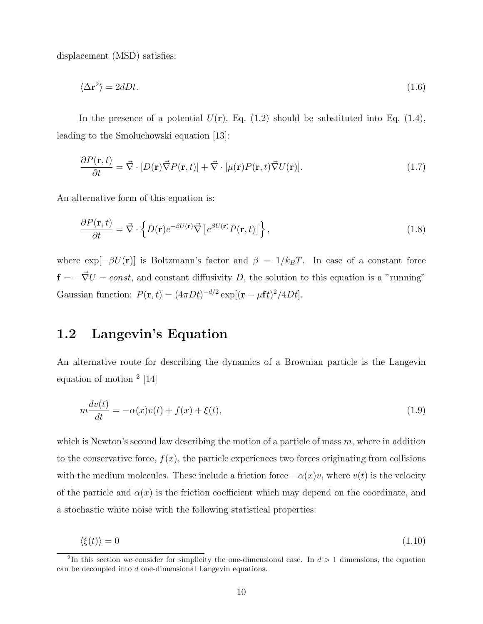displacement (MSD) satisfies:

$$
\langle \Delta \mathbf{r}^2 \rangle = 2dDt. \tag{1.6}
$$

In the presence of a potential  $U(\mathbf{r})$ , Eq. (1.2) should be substituted into Eq. (1.4), leading to the Smoluchowski equation [13]:

$$
\frac{\partial P(\mathbf{r},t)}{\partial t} = \vec{\nabla} \cdot [D(\mathbf{r}) \vec{\nabla} P(\mathbf{r},t)] + \vec{\nabla} \cdot [\mu(\mathbf{r}) P(\mathbf{r},t) \vec{\nabla} U(\mathbf{r})]. \tag{1.7}
$$

An alternative form of this equation is:

$$
\frac{\partial P(\mathbf{r},t)}{\partial t} = \vec{\nabla} \cdot \left\{ D(\mathbf{r}) e^{-\beta U(\mathbf{r})} \vec{\nabla} \left[ e^{\beta U(\mathbf{r})} P(\mathbf{r},t) \right] \right\},\tag{1.8}
$$

where  $\exp[-\beta U(\mathbf{r})]$  is Boltzmann's factor and  $\beta = 1/k_B T$ . In case of a constant force  $f = -\vec{\nabla}U = const$ , and constant diffusivity D, the solution to this equation is a "running" Gaussian function:  $P(\mathbf{r}, t) = (4\pi Dt)^{-d/2} \exp[(\mathbf{r} - \mu \mathbf{f} t)^2/4Dt].$ 

### 1.2 Langevin's Equation

An alternative route for describing the dynamics of a Brownian particle is the Langevin equation of motion <sup>2</sup> [14]

$$
m\frac{dv(t)}{dt} = -\alpha(x)v(t) + f(x) + \xi(t),
$$
\n(1.9)

which is Newton's second law describing the motion of a particle of mass  $m$ , where in addition to the conservative force,  $f(x)$ , the particle experiences two forces originating from collisions with the medium molecules. These include a friction force  $-\alpha(x)v$ , where  $v(t)$  is the velocity of the particle and  $\alpha(x)$  is the friction coefficient which may depend on the coordinate, and a stochastic white noise with the following statistical properties:

$$
\langle \xi(t) \rangle = 0 \tag{1.10}
$$

<sup>&</sup>lt;sup>2</sup>In this section we consider for simplicity the one-dimensional case. In  $d > 1$  dimensions, the equation can be decoupled into d one-dimensional Langevin equations.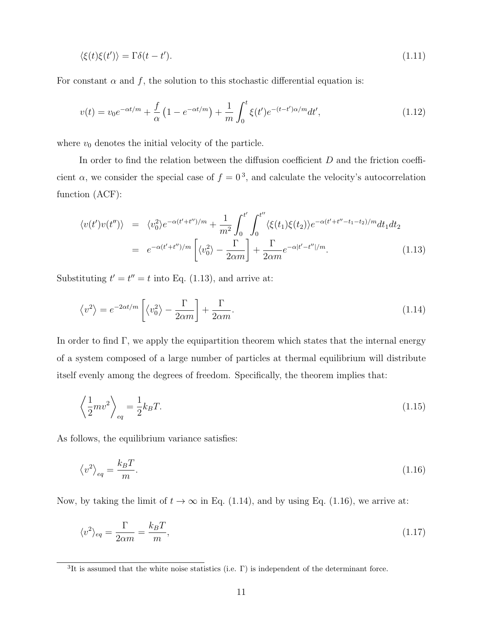$$
\langle \xi(t)\xi(t')\rangle = \Gamma \delta(t - t'). \tag{1.11}
$$

For constant  $\alpha$  and f, the solution to this stochastic differential equation is:

$$
v(t) = v_0 e^{-\alpha t/m} + \frac{f}{\alpha} \left( 1 - e^{-\alpha t/m} \right) + \frac{1}{m} \int_0^t \xi(t') e^{-(t-t')\alpha/m} dt', \tag{1.12}
$$

where  $v_0$  denotes the initial velocity of the particle.

In order to find the relation between the diffusion coefficient  $D$  and the friction coefficient  $\alpha$ , we consider the special case of  $f = 0^3$ , and calculate the velocity's autocorrelation function (ACF):

$$
\langle v(t')v(t'') \rangle = \langle v_0^2 \rangle e^{-\alpha (t'+t'')/m} + \frac{1}{m^2} \int_0^{t'} \int_0^{t''} \langle \xi(t_1)\xi(t_2) \rangle e^{-\alpha (t'+t''-t_1-t_2)/m} dt_1 dt_2
$$
  
=  $e^{-\alpha (t'+t'')/m} \left[ \langle v_0^2 \rangle - \frac{\Gamma}{2\alpha m} \right] + \frac{\Gamma}{2\alpha m} e^{-\alpha |t'-t''|/m}.$  (1.13)

Substituting  $t' = t'' = t$  into Eq. (1.13), and arrive at:

$$
\langle v^2 \rangle = e^{-2\alpha t/m} \left[ \langle v_0^2 \rangle - \frac{\Gamma}{2\alpha m} \right] + \frac{\Gamma}{2\alpha m}.
$$
 (1.14)

In order to find  $\Gamma$ , we apply the equipartition theorem which states that the internal energy of a system composed of a large number of particles at thermal equilibrium will distribute itself evenly among the degrees of freedom. Specifically, the theorem implies that:

$$
\left\langle \frac{1}{2}mv^2 \right\rangle_{eq} = \frac{1}{2}k_BT. \tag{1.15}
$$

As follows, the equilibrium variance satisfies:

$$
\langle v^2 \rangle_{eq} = \frac{k_B T}{m}.\tag{1.16}
$$

Now, by taking the limit of  $t \to \infty$  in Eq. (1.14), and by using Eq. (1.16), we arrive at:

$$
\langle v^2 \rangle_{eq} = \frac{\Gamma}{2\alpha m} = \frac{k_B T}{m},\tag{1.17}
$$

<sup>&</sup>lt;sup>3</sup>It is assumed that the white noise statistics (i.e.  $\Gamma$ ) is independent of the determinant force.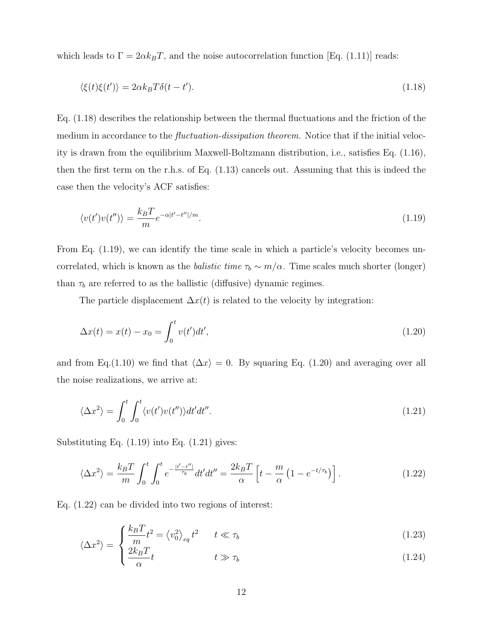which leads to  $\Gamma = 2\alpha k_B T$ , and the noise autocorrelation function [Eq. (1.11)] reads:

$$
\langle \xi(t)\xi(t')\rangle = 2\alpha k_B T \delta(t - t'). \tag{1.18}
$$

Eq. (1.18) describes the relationship between the thermal fluctuations and the friction of the medium in accordance to the *fluctuation-dissipation theorem*. Notice that if the initial velocity is drawn from the equilibrium Maxwell-Boltzmann distribution, i.e., satisfies Eq. (1.16), then the first term on the r.h.s. of Eq. (1.13) cancels out. Assuming that this is indeed the case then the velocity's ACF satisfies:

$$
\langle v(t')v(t'')\rangle = \frac{k_B T}{m} e^{-\alpha|t'-t''|/m}.\tag{1.19}
$$

From Eq. (1.19), we can identify the time scale in which a particle's velocity becomes uncorrelated, which is known as the *balistic time*  $\tau_b \sim m/\alpha$ . Time scales much shorter (longer) than  $\tau_b$  are referred to as the ballistic (diffusive) dynamic regimes.

The particle displacement  $\Delta x(t)$  is related to the velocity by integration:

$$
\Delta x(t) = x(t) - x_0 = \int_0^t v(t')dt',
$$
\n(1.20)

and from Eq.(1.10) we find that  $\langle \Delta x \rangle = 0$ . By squaring Eq. (1.20) and averaging over all the noise realizations, we arrive at:

$$
\langle \Delta x^2 \rangle = \int_0^t \int_0^t \langle v(t')v(t'') \rangle dt' dt''.
$$
\n(1.21)

Substituting Eq.  $(1.19)$  into Eq.  $(1.21)$  gives:

$$
\langle \Delta x^2 \rangle = \frac{k_B T}{m} \int_0^t \int_0^t e^{-\frac{|t'-t''|}{\tau_b}} dt' dt'' = \frac{2k_B T}{\alpha} \left[ t - \frac{m}{\alpha} \left( 1 - e^{-t/\tau_b} \right) \right]. \tag{1.22}
$$

Eq. (1.22) can be divided into two regions of interest:

$$
\langle \Delta x^2 \rangle = \begin{cases} \frac{k_B T}{m} t^2 = \langle v_0^2 \rangle_{eq} t^2 & t \ll \tau_b \\ \frac{\Omega L}{m} T \end{cases}
$$
 (1.23)

$$
\frac{2k_B T}{\alpha} t \qquad \qquad t \gg \tau_b \tag{1.24}
$$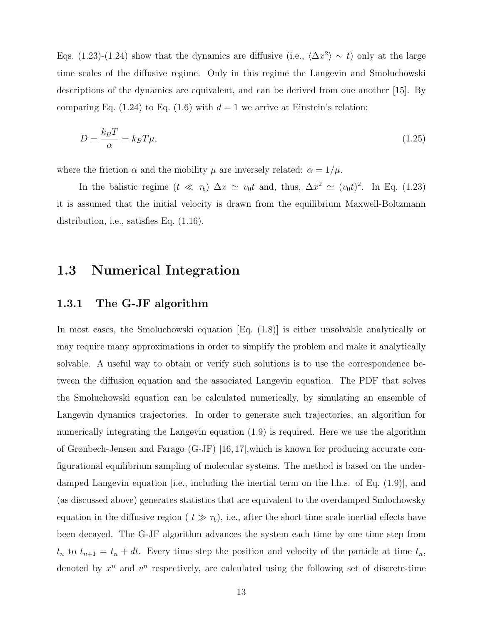Eqs. (1.23)-(1.24) show that the dynamics are diffusive (i.e.,  $\langle \Delta x^2 \rangle \sim t$ ) only at the large time scales of the diffusive regime. Only in this regime the Langevin and Smoluchowski descriptions of the dynamics are equivalent, and can be derived from one another [15]. By comparing Eq. (1.24) to Eq. (1.6) with  $d = 1$  we arrive at Einstein's relation:

$$
D = \frac{k_B T}{\alpha} = k_B T \mu,\tag{1.25}
$$

where the friction  $\alpha$  and the mobility  $\mu$  are inversely related:  $\alpha = 1/\mu$ .

In the balistic regime  $(t \ll \tau_b) \Delta x \simeq v_0 t$  and, thus,  $\Delta x^2 \simeq (v_0 t)^2$ . In Eq. (1.23) it is assumed that the initial velocity is drawn from the equilibrium Maxwell-Boltzmann distribution, i.e., satisfies Eq. (1.16).

### 1.3 Numerical Integration

#### 1.3.1 The G-JF algorithm

In most cases, the Smoluchowski equation [Eq. (1.8)] is either unsolvable analytically or may require many approximations in order to simplify the problem and make it analytically solvable. A useful way to obtain or verify such solutions is to use the correspondence between the diffusion equation and the associated Langevin equation. The PDF that solves the Smoluchowski equation can be calculated numerically, by simulating an ensemble of Langevin dynamics trajectories. In order to generate such trajectories, an algorithm for numerically integrating the Langevin equation (1.9) is required. Here we use the algorithm of Grønbech-Jensen and Farago (G-JF) [16, 17],which is known for producing accurate configurational equilibrium sampling of molecular systems. The method is based on the underdamped Langevin equation [i.e., including the inertial term on the l.h.s. of Eq. (1.9)], and (as discussed above) generates statistics that are equivalent to the overdamped Smlochowsky equation in the diffusive region ( $t \gg \tau_b$ ), i.e., after the short time scale inertial effects have been decayed. The G-JF algorithm advances the system each time by one time step from  $t_n$  to  $t_{n+1} = t_n + dt$ . Every time step the position and velocity of the particle at time  $t_n$ , denoted by  $x^n$  and  $v^n$  respectively, are calculated using the following set of discrete-time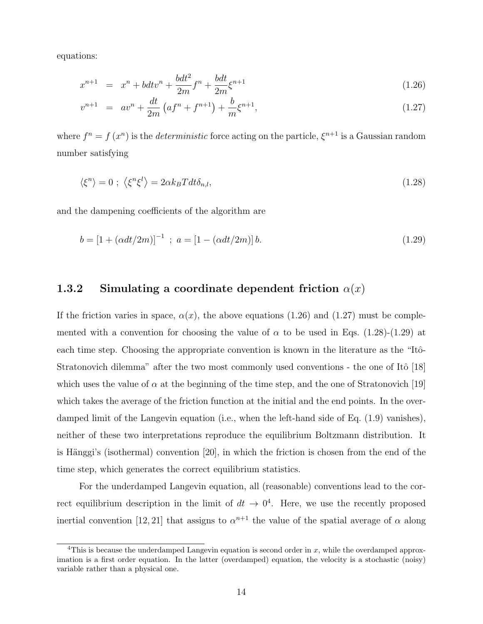equations:

$$
x^{n+1} = x^n + bdt v^n + \frac{bdt^2}{2m} f^n + \frac{bdt}{2m} \xi^{n+1}
$$
\n(1.26)

$$
v^{n+1} = av^n + \frac{dt}{2m} \left( af^n + f^{n+1} \right) + \frac{b}{m} \xi^{n+1}, \tag{1.27}
$$

where  $f^n = f(x^n)$  is the *deterministic* force acting on the particle,  $\xi^{n+1}$  is a Gaussian random number satisfying

$$
\langle \xi^n \rangle = 0 \; ; \; \langle \xi^n \xi^l \rangle = 2\alpha k_B T dt \delta_{n,l}, \tag{1.28}
$$

and the dampening coefficients of the algorithm are

$$
b = [1 + (\alpha dt/2m)]^{-1} \; ; \; a = [1 - (\alpha dt/2m)] b. \tag{1.29}
$$

#### 1.3.2 Simulating a coordinate dependent friction  $\alpha(x)$

If the friction varies in space,  $\alpha(x)$ , the above equations (1.26) and (1.27) must be complemented with a convention for choosing the value of  $\alpha$  to be used in Eqs. (1.28)-(1.29) at each time step. Choosing the appropriate convention is known in the literature as the "Itô-Stratonovich dilemma" after the two most commonly used conventions - the one of Itô  $[18]$ which uses the value of  $\alpha$  at the beginning of the time step, and the one of Stratonovich [19] which takes the average of the friction function at the initial and the end points. In the overdamped limit of the Langevin equation (i.e., when the left-hand side of Eq. (1.9) vanishes), neither of these two interpretations reproduce the equilibrium Boltzmann distribution. It is Hänggi's (isothermal) convention  $[20]$ , in which the friction is chosen from the end of the time step, which generates the correct equilibrium statistics.

For the underdamped Langevin equation, all (reasonable) conventions lead to the correct equilibrium description in the limit of  $dt \to 0^4$ . Here, we use the recently proposed inertial convention [12, 21] that assigns to  $\alpha^{n+1}$  the value of the spatial average of  $\alpha$  along

<sup>&</sup>lt;sup>4</sup>This is because the underdamped Langevin equation is second order in  $x$ , while the overdamped approximation is a first order equation. In the latter (overdamped) equation, the velocity is a stochastic (noisy) variable rather than a physical one.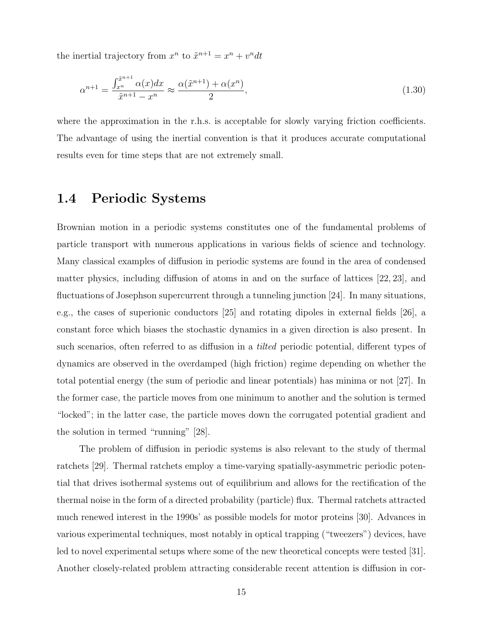the inertial trajectory from  $x^n$  to  $\tilde{x}^{n+1} = x^n + v^n dt$ 

$$
\alpha^{n+1} = \frac{\int_{x^n}^{\tilde{x}^{n+1}} \alpha(x) dx}{\tilde{x}^{n+1} - x^n} \approx \frac{\alpha(\tilde{x}^{n+1}) + \alpha(x^n)}{2},\tag{1.30}
$$

where the approximation in the r.h.s. is acceptable for slowly varying friction coefficients. The advantage of using the inertial convention is that it produces accurate computational results even for time steps that are not extremely small.

### 1.4 Periodic Systems

Brownian motion in a periodic systems constitutes one of the fundamental problems of particle transport with numerous applications in various fields of science and technology. Many classical examples of diffusion in periodic systems are found in the area of condensed matter physics, including diffusion of atoms in and on the surface of lattices [22, 23], and fluctuations of Josephson supercurrent through a tunneling junction [24]. In many situations, e.g., the cases of superionic conductors [25] and rotating dipoles in external fields [26], a constant force which biases the stochastic dynamics in a given direction is also present. In such scenarios, often referred to as diffusion in a tilted periodic potential, different types of dynamics are observed in the overdamped (high friction) regime depending on whether the total potential energy (the sum of periodic and linear potentials) has minima or not [27]. In the former case, the particle moves from one minimum to another and the solution is termed "locked"; in the latter case, the particle moves down the corrugated potential gradient and the solution in termed "running" [28].

The problem of diffusion in periodic systems is also relevant to the study of thermal ratchets [29]. Thermal ratchets employ a time-varying spatially-asymmetric periodic potential that drives isothermal systems out of equilibrium and allows for the rectification of the thermal noise in the form of a directed probability (particle) flux. Thermal ratchets attracted much renewed interest in the 1990s' as possible models for motor proteins [30]. Advances in various experimental techniques, most notably in optical trapping ("tweezers") devices, have led to novel experimental setups where some of the new theoretical concepts were tested [31]. Another closely-related problem attracting considerable recent attention is diffusion in cor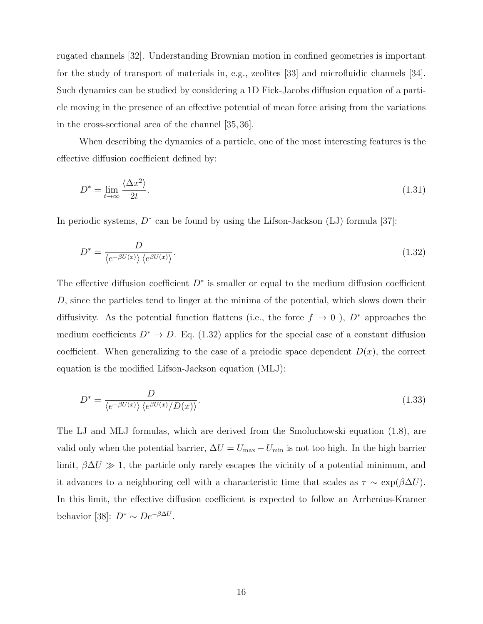rugated channels [32]. Understanding Brownian motion in confined geometries is important for the study of transport of materials in, e.g., zeolites [33] and microfluidic channels [34]. Such dynamics can be studied by considering a 1D Fick-Jacobs diffusion equation of a particle moving in the presence of an effective potential of mean force arising from the variations in the cross-sectional area of the channel [35, 36].

When describing the dynamics of a particle, one of the most interesting features is the effective diffusion coefficient defined by:

$$
D^* = \lim_{t \to \infty} \frac{\langle \Delta x^2 \rangle}{2t}.
$$
\n(1.31)

In periodic systems,  $D^*$  can be found by using the Lifson-Jackson (LJ) formula [37]:

$$
D^* = \frac{D}{\langle e^{-\beta U(x)} \rangle \langle e^{\beta U(x)} \rangle}.
$$
\n(1.32)

The effective diffusion coefficient  $D^*$  is smaller or equal to the medium diffusion coefficient D, since the particles tend to linger at the minima of the potential, which slows down their diffusivity. As the potential function flattens (i.e., the force  $f \to 0$ ),  $D^*$  approaches the medium coefficients  $D^* \to D$ . Eq. (1.32) applies for the special case of a constant diffusion coefficient. When generalizing to the case of a preiodic space dependent  $D(x)$ , the correct equation is the modified Lifson-Jackson equation (MLJ):

$$
D^* = \frac{D}{\langle e^{-\beta U(x)} \rangle \langle e^{\beta U(x)} / D(x) \rangle}.
$$
\n(1.33)

The LJ and MLJ formulas, which are derived from the Smoluchowski equation (1.8), are valid only when the potential barrier,  $\Delta U = U_{\text{max}} - U_{\text{min}}$  is not too high. In the high barrier limit,  $\beta \Delta U \gg 1$ , the particle only rarely escapes the vicinity of a potential minimum, and it advances to a neighboring cell with a characteristic time that scales as  $\tau \sim \exp(\beta \Delta U)$ . In this limit, the effective diffusion coefficient is expected to follow an Arrhenius-Kramer behavior [38]:  $D^* \sim De^{-\beta \Delta U}$ .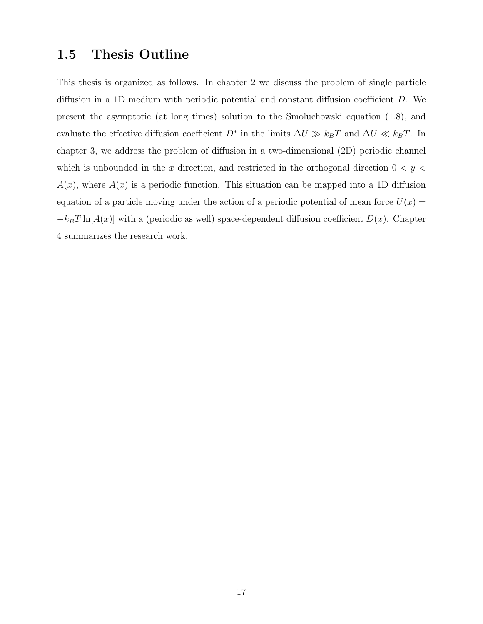### 1.5 Thesis Outline

This thesis is organized as follows. In chapter 2 we discuss the problem of single particle diffusion in a 1D medium with periodic potential and constant diffusion coefficient D. We present the asymptotic (at long times) solution to the Smoluchowski equation (1.8), and evaluate the effective diffusion coefficient  $D^*$  in the limits  $\Delta U \gg k_B T$  and  $\Delta U \ll k_B T$ . In chapter 3, we address the problem of diffusion in a two-dimensional (2D) periodic channel which is unbounded in the x direction, and restricted in the orthogonal direction  $0 < y <$  $A(x)$ , where  $A(x)$  is a periodic function. This situation can be mapped into a 1D diffusion equation of a particle moving under the action of a periodic potential of mean force  $U(x) =$  $-k_BT \ln[A(x)]$  with a (periodic as well) space-dependent diffusion coefficient  $D(x)$ . Chapter 4 summarizes the research work.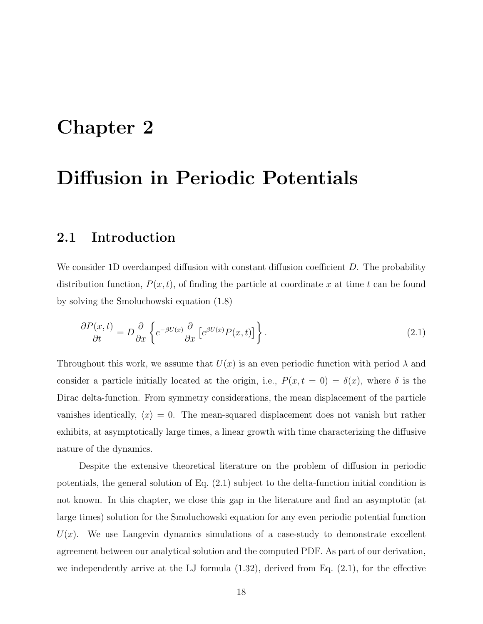## Chapter 2

## Diffusion in Periodic Potentials

### 2.1 Introduction

We consider 1D overdamped diffusion with constant diffusion coefficient D. The probability distribution function,  $P(x, t)$ , of finding the particle at coordinate x at time t can be found by solving the Smoluchowski equation (1.8)

$$
\frac{\partial P(x,t)}{\partial t} = D \frac{\partial}{\partial x} \left\{ e^{-\beta U(x)} \frac{\partial}{\partial x} \left[ e^{\beta U(x)} P(x,t) \right] \right\}.
$$
\n(2.1)

Throughout this work, we assume that  $U(x)$  is an even periodic function with period  $\lambda$  and consider a particle initially located at the origin, i.e.,  $P(x, t = 0) = \delta(x)$ , where  $\delta$  is the Dirac delta-function. From symmetry considerations, the mean displacement of the particle vanishes identically,  $\langle x \rangle = 0$ . The mean-squared displacement does not vanish but rather exhibits, at asymptotically large times, a linear growth with time characterizing the diffusive nature of the dynamics.

Despite the extensive theoretical literature on the problem of diffusion in periodic potentials, the general solution of Eq. (2.1) subject to the delta-function initial condition is not known. In this chapter, we close this gap in the literature and find an asymptotic (at large times) solution for the Smoluchowski equation for any even periodic potential function  $U(x)$ . We use Langevin dynamics simulations of a case-study to demonstrate excellent agreement between our analytical solution and the computed PDF. As part of our derivation, we independently arrive at the LJ formula  $(1.32)$ , derived from Eq.  $(2.1)$ , for the effective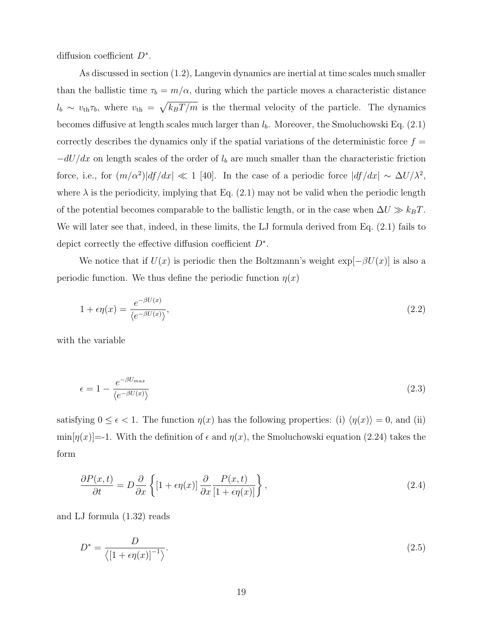diffusion coefficient  $D^*$ .

As discussed in section (1.2), Langevin dynamics are inertial at time scales much smaller than the ballistic time  $\tau_b = m/\alpha$ , during which the particle moves a characteristic distance  $l_b \sim v_{\text{th}} \tau_b$ , where  $v_{\text{th}} = \sqrt{k_B T/m}$  is the thermal velocity of the particle. The dynamics becomes diffusive at length scales much larger than  $l<sub>b</sub>$ . Moreover, the Smoluchowski Eq. (2.1) correctly describes the dynamics only if the spatial variations of the deterministic force  $f =$  $-dU/dx$  on length scales of the order of  $l<sub>b</sub>$  are much smaller than the characteristic friction force, i.e., for  $(m/\alpha^2)|df/dx| \ll 1$  [40]. In the case of a periodic force  $|df/dx| \sim \Delta U/\lambda^2$ , where  $\lambda$  is the periodicity, implying that Eq. (2.1) may not be valid when the periodic length of the potential becomes comparable to the ballistic length, or in the case when  $\Delta U \gg k_B T$ . We will later see that, indeed, in these limits, the LJ formula derived from Eq. (2.1) fails to depict correctly the effective diffusion coefficient  $D^*$ .

We notice that if  $U(x)$  is periodic then the Boltzmann's weight  $\exp[-\beta U(x)]$  is also a periodic function. We thus define the periodic function  $\eta(x)$ 

$$
1 + \epsilon \eta(x) = \frac{e^{-\beta U(x)}}{\langle e^{-\beta U(x)} \rangle},\tag{2.2}
$$

with the variable

$$
\epsilon = 1 - \frac{e^{-\beta U_{max}}}{\langle e^{-\beta U(x)} \rangle} \tag{2.3}
$$

satisfying  $0 \leq \epsilon < 1$ . The function  $\eta(x)$  has the following properties: (i)  $\langle \eta(x) \rangle = 0$ , and (ii)  $\min[\eta(x)]=1$ . With the definition of  $\epsilon$  and  $\eta(x)$ , the Smoluchowski equation (2.24) takes the form

$$
\frac{\partial P(x,t)}{\partial t} = D \frac{\partial}{\partial x} \left\{ \left[ 1 + \epsilon \eta(x) \right] \frac{\partial}{\partial x} \frac{P(x,t)}{\left[ 1 + \epsilon \eta(x) \right]} \right\},\tag{2.4}
$$

and LJ formula (1.32) reads

$$
D^* = \frac{D}{\langle \left[1 + \epsilon \eta(x)\right]^{-1} \rangle}.
$$
\n(2.5)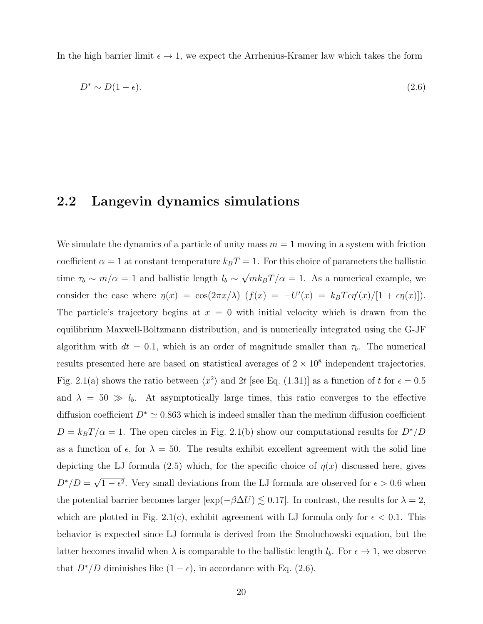In the high barrier limit  $\epsilon \to 1$ , we expect the Arrhenius-Kramer law which takes the form

$$
D^* \sim D(1 - \epsilon). \tag{2.6}
$$

#### 2.2 Langevin dynamics simulations

We simulate the dynamics of a particle of unity mass  $m = 1$  moving in a system with friction coefficient  $\alpha = 1$  at constant temperature  $k_B T = 1$ . For this choice of parameters the ballistic time  $\tau_b \sim m/\alpha = 1$  and ballistic length  $l_b \sim$ √  $mk_BT/\alpha = 1$ . As a numerical example, we consider the case where  $\eta(x) = \cos(2\pi x/\lambda)$   $(f(x) = -U'(x) = k_B T \epsilon \eta'(x)/[1 + \epsilon \eta(x)]$ . The particle's trajectory begins at  $x = 0$  with initial velocity which is drawn from the equilibrium Maxwell-Boltzmann distribution, and is numerically integrated using the G-JF algorithm with  $dt = 0.1$ , which is an order of magnitude smaller than  $\tau_b$ . The numerical results presented here are based on statistical averages of  $2 \times 10^8$  independent trajectories. Fig. 2.1(a) shows the ratio between  $\langle x^2 \rangle$  and 2t [see Eq. (1.31)] as a function of t for  $\epsilon = 0.5$ and  $\lambda = 50 \gg l_b$ . At asymptotically large times, this ratio converges to the effective diffusion coefficient  $D^* \simeq 0.863$  which is indeed smaller than the medium diffusion coefficient  $D = k_B T/\alpha = 1$ . The open circles in Fig. 2.1(b) show our computational results for  $D^*/D$ as a function of  $\epsilon$ , for  $\lambda = 50$ . The results exhibit excellent agreement with the solid line depicting the LJ formula (2.5) which, for the specific choice of  $\eta(x)$  discussed here, gives  $D^*/D =$ √  $1 - \epsilon^2$ . Very small deviations from the LJ formula are observed for  $\epsilon > 0.6$  when the potential barrier becomes larger  $[\exp(-\beta \Delta U) \lesssim 0.17]$ . In contrast, the results for  $\lambda = 2$ , which are plotted in Fig. 2.1(c), exhibit agreement with LJ formula only for  $\epsilon$  < 0.1. This behavior is expected since LJ formula is derived from the Smoluchowski equation, but the latter becomes invalid when  $\lambda$  is comparable to the ballistic length  $l_b$ . For  $\epsilon \to 1$ , we observe that  $D^*/D$  diminishes like  $(1 - \epsilon)$ , in accordance with Eq. (2.6).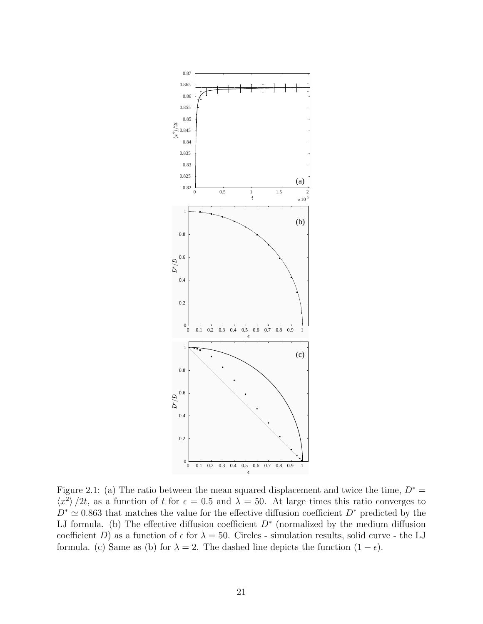

Figure 2.1: (a) The ratio between the mean squared displacement and twice the time,  $D^* =$  $\langle x^2 \rangle /2t$ , as a function of t for  $\epsilon = 0.5$  and  $\lambda = 50$ . At large times this ratio converges to  $D^* \simeq 0.863$  that matches the value for the effective diffusion coefficient  $D^*$  predicted by the LJ formula. (b) The effective diffusion coefficient  $D^*$  (normalized by the medium diffusion coefficient D) as a function of  $\epsilon$  for  $\lambda = 50$ . Circles - simulation results, solid curve - the LJ formula. (c) Same as (b) for  $\lambda = 2$ . The dashed line depicts the function  $(1 - \epsilon)$ .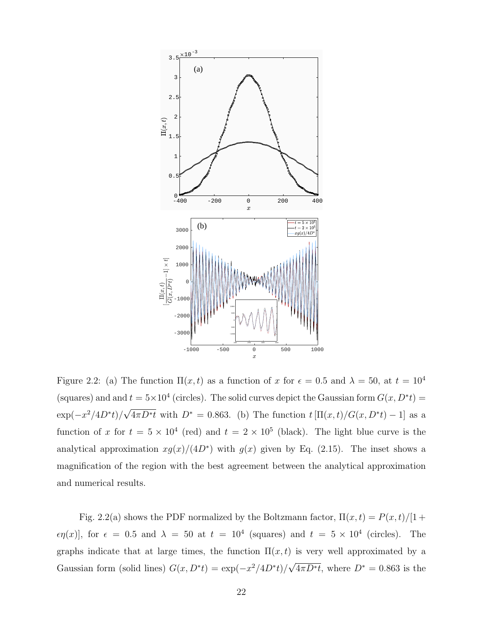

Figure 2.2: (a) The function  $\Pi(x,t)$  as a function of x for  $\epsilon = 0.5$  and  $\lambda = 50$ , at  $t = 10^4$ (squares) and and  $t = 5 \times 10^4$  (circles). The solid curves depict the Gaussian form  $G(x, D^*t)$  $\exp(-x^2/4D^*t)/$ √  $\overline{4\pi D^*t}$  with  $D^* = 0.863$ . (b) The function  $t \left[\Pi(x,t)/G(x,D^*t) - 1\right]$  as a function of x for  $t = 5 \times 10^4$  (red) and  $t = 2 \times 10^5$  (black). The light blue curve is the analytical approximation  $xg(x)/(4D^*)$  with  $g(x)$  given by Eq. (2.15). The inset shows a magnification of the region with the best agreement between the analytical approximation and numerical results.

Fig. 2.2(a) shows the PDF normalized by the Boltzmann factor,  $\Pi(x, t) = P(x, t)/[1 +$  $\epsilon \eta(x)$ , for  $\epsilon = 0.5$  and  $\lambda = 50$  at  $t = 10^4$  (squares) and  $t = 5 \times 10^4$  (circles). The graphs indicate that at large times, the function  $\Pi(x,t)$  is very well approximated by a Gaussian form (solid lines)  $G(x, D^*t) = \exp(-x^2/4D^*t)$ √  $\overline{4\pi D^*t}$ , where  $D^* = 0.863$  is the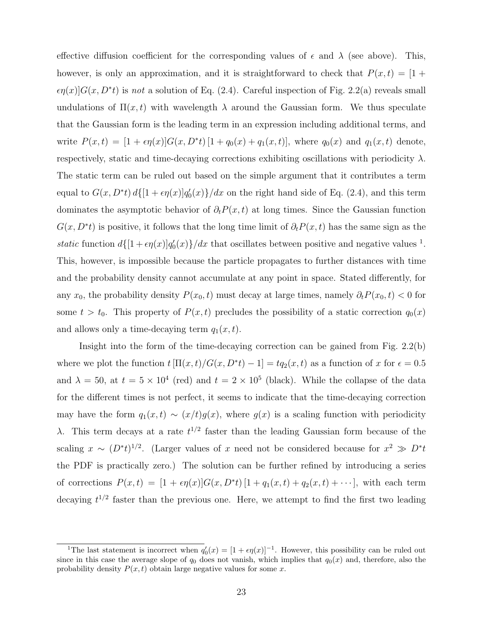effective diffusion coefficient for the corresponding values of  $\epsilon$  and  $\lambda$  (see above). This, however, is only an approximation, and it is straightforward to check that  $P(x, t) = [1 +$  $\epsilon \eta(x) G(x, D^*t)$  is not a solution of Eq. (2.4). Careful inspection of Fig. 2.2(a) reveals small undulations of  $\Pi(x,t)$  with wavelength  $\lambda$  around the Gaussian form. We thus speculate that the Gaussian form is the leading term in an expression including additional terms, and write  $P(x,t) = [1 + \epsilon \eta(x)]G(x, D^*t) [1 + q_0(x) + q_1(x,t)],$  where  $q_0(x)$  and  $q_1(x,t)$  denote, respectively, static and time-decaying corrections exhibiting oscillations with periodicity  $\lambda$ . The static term can be ruled out based on the simple argument that it contributes a term equal to  $G(x, D^*t) d\{[1 + \epsilon \eta(x)]q'_0(x)\}/dx$  on the right hand side of Eq. (2.4), and this term dominates the asymptotic behavior of  $\partial_t P(x, t)$  at long times. Since the Gaussian function  $G(x, D^*t)$  is positive, it follows that the long time limit of  $\partial_t P(x, t)$  has the same sign as the static function  $d\{[1+\epsilon\eta(x)]q_0'(x)\}/dx$  that oscillates between positive and negative values <sup>1</sup>. This, however, is impossible because the particle propagates to further distances with time and the probability density cannot accumulate at any point in space. Stated differently, for any  $x_0$ , the probability density  $P(x_0, t)$  must decay at large times, namely  $\partial_t P(x_0, t) < 0$  for some  $t > t_0$ . This property of  $P(x, t)$  precludes the possibility of a static correction  $q_0(x)$ and allows only a time-decaying term  $q_1(x, t)$ .

Insight into the form of the time-decaying correction can be gained from Fig. 2.2(b) where we plot the function  $t[\Pi(x,t)/G(x, D^*t) - 1] = tq_2(x,t)$  as a function of x for  $\epsilon = 0.5$ and  $\lambda = 50$ , at  $t = 5 \times 10^4$  (red) and  $t = 2 \times 10^5$  (black). While the collapse of the data for the different times is not perfect, it seems to indicate that the time-decaying correction may have the form  $q_1(x,t) \sim (x/t)g(x)$ , where  $g(x)$  is a scaling function with periodicity λ. This term decays at a rate  $t^{1/2}$  faster than the leading Gaussian form because of the scaling  $x \sim (D^*t)^{1/2}$ . (Larger values of x need not be considered because for  $x^2 \gg D^*t$ the PDF is practically zero.) The solution can be further refined by introducing a series of corrections  $P(x,t) = [1 + \epsilon \eta(x)]G(x, D^*t) [1 + q_1(x,t) + q_2(x,t) + \cdots],$  with each term decaying  $t^{1/2}$  faster than the previous one. Here, we attempt to find the first two leading

<sup>&</sup>lt;sup>1</sup>The last statement is incorrect when  $q'_0(x) = [1 + \epsilon \eta(x)]^{-1}$ . However, this possibility can be ruled out since in this case the average slope of  $q_0$  does not vanish, which implies that  $q_0(x)$  and, therefore, also the probability density  $P(x, t)$  obtain large negative values for some x.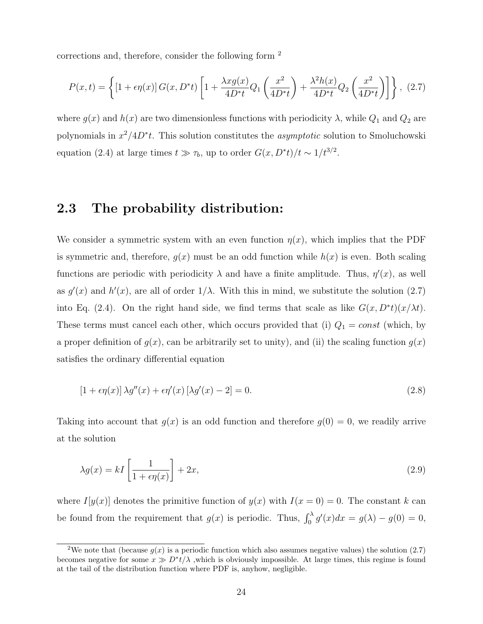corrections and, therefore, consider the following form <sup>2</sup>

$$
P(x,t) = \left\{ [1 + \epsilon \eta(x)] G(x, D^*t) \left[ 1 + \frac{\lambda x g(x)}{4D^*t} Q_1 \left( \frac{x^2}{4D^*t} \right) + \frac{\lambda^2 h(x)}{4D^*t} Q_2 \left( \frac{x^2}{4D^*t} \right) \right] \right\}, (2.7)
$$

where  $g(x)$  and  $h(x)$  are two dimensionless functions with periodicity  $\lambda$ , while  $Q_1$  and  $Q_2$  are polynomials in  $x^2/4D^*t$ . This solution constitutes the *asymptotic* solution to Smoluchowski equation (2.4) at large times  $t \gg \tau_b$ , up to order  $G(x, D^*t)/t \sim 1/t^{3/2}$ .

#### 2.3 The probability distribution:

We consider a symmetric system with an even function  $\eta(x)$ , which implies that the PDF is symmetric and, therefore,  $g(x)$  must be an odd function while  $h(x)$  is even. Both scaling functions are periodic with periodicity  $\lambda$  and have a finite amplitude. Thus,  $\eta'(x)$ , as well as  $g'(x)$  and  $h'(x)$ , are all of order  $1/\lambda$ . With this in mind, we substitute the solution (2.7) into Eq. (2.4). On the right hand side, we find terms that scale as like  $G(x, D^*t)(x/\lambda t)$ . These terms must cancel each other, which occurs provided that (i)  $Q_1 = const$  (which, by a proper definition of  $g(x)$ , can be arbitrarily set to unity), and (ii) the scaling function  $g(x)$ satisfies the ordinary differential equation

$$
[1 + \epsilon \eta(x)] \lambda g''(x) + \epsilon \eta'(x) [\lambda g'(x) - 2] = 0.
$$
\n(2.8)

Taking into account that  $q(x)$  is an odd function and therefore  $q(0) = 0$ , we readily arrive at the solution

$$
\lambda g(x) = kI \left[ \frac{1}{1 + \epsilon \eta(x)} \right] + 2x,\tag{2.9}
$$

where  $I[y(x)]$  denotes the primitive function of  $y(x)$  with  $I(x = 0) = 0$ . The constant k can be found from the requirement that  $g(x)$  is periodic. Thus,  $\int_0^{\lambda} g'(x)dx = g(\lambda) - g(0) = 0$ ,

<sup>&</sup>lt;sup>2</sup>We note that (because  $g(x)$  is a periodic function which also assumes negative values) the solution (2.7) becomes negative for some  $x \gg D^*t/\lambda$ , which is obviously impossible. At large times, this regime is found at the tail of the distribution function where PDF is, anyhow, negligible.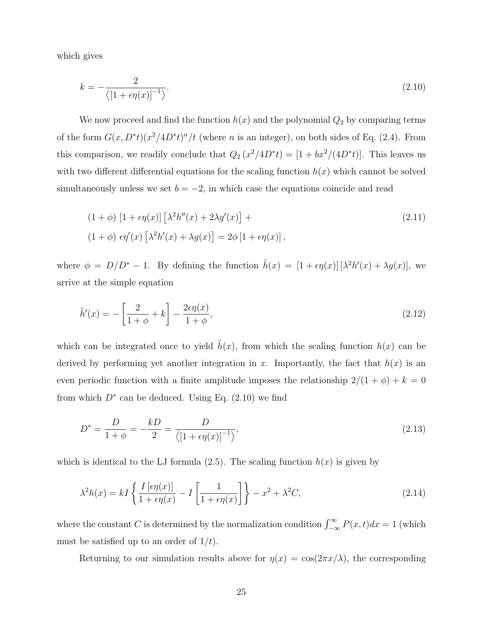which gives

$$
k = -\frac{2}{\langle \left[1 + \epsilon \eta(x)\right]^{-1} \rangle}.
$$
\n
$$
(2.10)
$$

We now proceed and find the function  $h(x)$  and the polynomial  $Q_2$  by comparing terms of the form  $G(x, D^*t)(x^2/4D^*t)^n/t$  (where *n* is an integer), on both sides of Eq. (2.4). From this comparison, we readily conclude that  $Q_2(x^2/4D^*t) = [1 + bx^2/(4D^*t)]$ . This leaves us with two different differential equations for the scaling function  $h(x)$  which cannot be solved simultaneously unless we set  $b = -2$ , in which case the equations coincide and read

$$
(1 + \phi) [1 + \epsilon \eta(x)] [\lambda^2 h''(x) + 2\lambda g'(x)] +
$$
  
\n
$$
(1 + \phi) \epsilon \eta'(x) [\lambda^2 h'(x) + \lambda g(x)] = 2\phi [1 + \epsilon \eta(x)],
$$
\n(2.11)

where  $\phi = D/D^* - 1$ . By defining the function  $\tilde{h}(x) = [1 + \epsilon \eta(x)] [\lambda^2 h'(x) + \lambda g(x)]$ , we arrive at the simple equation

$$
\tilde{h}'(x) = -\left[\frac{2}{1+\phi} + k\right] - \frac{2\epsilon\eta(x)}{1+\phi},\tag{2.12}
$$

which can be integrated once to yield  $\hat{h}(x)$ , from which the scaling function  $h(x)$  can be derived by performing yet another integration in x. Importantly, the fact that  $h(x)$  is an even periodic function with a finite amplitude imposes the relationship  $2/(1 + \phi) + k = 0$ from which  $D^*$  can be deduced. Using Eq.  $(2.10)$  we find

$$
D^* = \frac{D}{1+\phi} = -\frac{kD}{2} = \frac{D}{\langle [1+\epsilon \eta(x)]^{-1} \rangle},
$$
\n(2.13)

which is identical to the LJ formula (2.5). The scaling function  $h(x)$  is given by

$$
\lambda^2 h(x) = kI \left\{ \frac{I\left[\epsilon \eta(x)\right]}{1 + \epsilon \eta(x)} - I\left[\frac{1}{1 + \epsilon \eta(x)}\right] \right\} - x^2 + \lambda^2 C,\tag{2.14}
$$

where the constant C is determined by the normalization condition  $\int_{-\infty}^{\infty} P(x, t)dx = 1$  (which must be satisfied up to an order of  $1/t$ .

Returning to our simulation results above for  $\eta(x) = \cos(2\pi x/\lambda)$ , the corresponding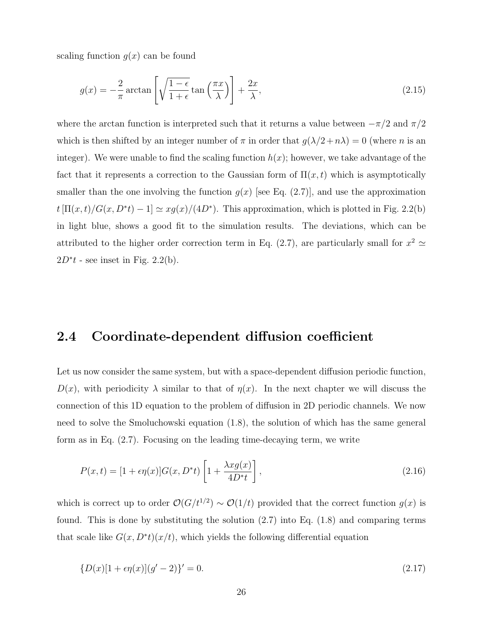scaling function  $g(x)$  can be found

$$
g(x) = -\frac{2}{\pi} \arctan\left[\sqrt{\frac{1-\epsilon}{1+\epsilon}} \tan\left(\frac{\pi x}{\lambda}\right)\right] + \frac{2x}{\lambda},\tag{2.15}
$$

where the arctan function is interpreted such that it returns a value between  $-\pi/2$  and  $\pi/2$ which is then shifted by an integer number of  $\pi$  in order that  $g(\lambda/2 + n\lambda) = 0$  (where n is an integer). We were unable to find the scaling function  $h(x)$ ; however, we take advantage of the fact that it represents a correction to the Gaussian form of  $\Pi(x,t)$  which is asymptotically smaller than the one involving the function  $g(x)$  [see Eq. (2.7)], and use the approximation  $t[\Pi(x,t)/G(x, D^*t) - 1] \simeq xg(x)/(4D^*)$ . This approximation, which is plotted in Fig. 2.2(b) in light blue, shows a good fit to the simulation results. The deviations, which can be attributed to the higher order correction term in Eq. (2.7), are particularly small for  $x^2 \simeq$  $2D^*t$  - see inset in Fig. 2.2(b).

#### 2.4 Coordinate-dependent diffusion coefficient

Let us now consider the same system, but with a space-dependent diffusion periodic function,  $D(x)$ , with periodicity  $\lambda$  similar to that of  $\eta(x)$ . In the next chapter we will discuss the connection of this 1D equation to the problem of diffusion in 2D periodic channels. We now need to solve the Smoluchowski equation (1.8), the solution of which has the same general form as in Eq. (2.7). Focusing on the leading time-decaying term, we write

$$
P(x,t) = [1 + \epsilon \eta(x)]G(x, D^*t)\left[1 + \frac{\lambda x g(x)}{4D^*t}\right],
$$
\n(2.16)

which is correct up to order  $\mathcal{O}(G/t^{1/2}) \sim \mathcal{O}(1/t)$  provided that the correct function  $g(x)$  is found. This is done by substituting the solution (2.7) into Eq. (1.8) and comparing terms that scale like  $G(x, D^*t)(x/t)$ , which yields the following differential equation

$$
\{D(x)[1 + \epsilon \eta(x)](g' - 2)\}' = 0.
$$
\n(2.17)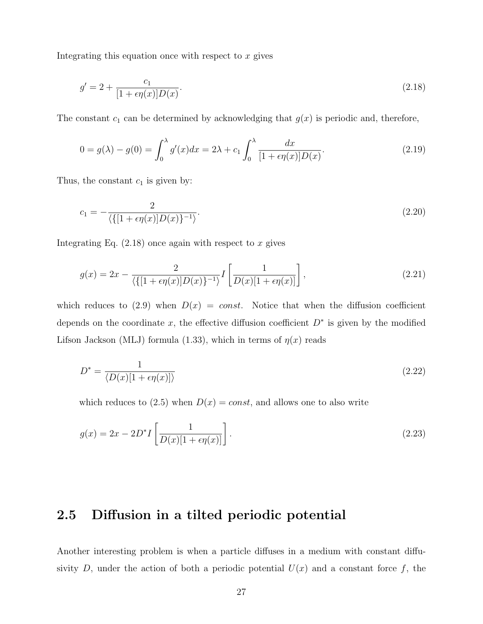Integrating this equation once with respect to  $x$  gives

$$
g' = 2 + \frac{c_1}{[1 + \epsilon \eta(x)] D(x)}.
$$
\n(2.18)

The constant  $c_1$  can be determined by acknowledging that  $g(x)$  is periodic and, therefore,

$$
0 = g(\lambda) - g(0) = \int_0^{\lambda} g'(x) dx = 2\lambda + c_1 \int_0^{\lambda} \frac{dx}{[1 + \epsilon \eta(x)] D(x)}.
$$
 (2.19)

Thus, the constant  $c_1$  is given by:

$$
c_1 = -\frac{2}{\langle \{ [1 + \epsilon \eta(x)] D(x) \}^{-1} \rangle}.
$$
\n(2.20)

Integrating Eq.  $(2.18)$  once again with respect to x gives

$$
g(x) = 2x - \frac{2}{\langle \{ [1 + \epsilon \eta(x)] D(x) \}^{-1} \rangle} I\left[\frac{1}{D(x)[1 + \epsilon \eta(x)]}\right],
$$
\n(2.21)

which reduces to (2.9) when  $D(x) = const.$  Notice that when the diffusion coefficient depends on the coordinate x, the effective diffusion coefficient  $D^*$  is given by the modified Lifson Jackson (MLJ) formula (1.33), which in terms of  $\eta(x)$  reads

$$
D^* = \frac{1}{\langle D(x)[1 + \epsilon \eta(x)]\rangle} \tag{2.22}
$$

which reduces to  $(2.5)$  when  $D(x) = const$ , and allows one to also write

$$
g(x) = 2x - 2D^*I\left[\frac{1}{D(x)[1 + \epsilon \eta(x)]}\right].
$$
\n(2.23)

#### 2.5 Diffusion in a tilted periodic potential

Another interesting problem is when a particle diffuses in a medium with constant diffusivity D, under the action of both a periodic potential  $U(x)$  and a constant force f, the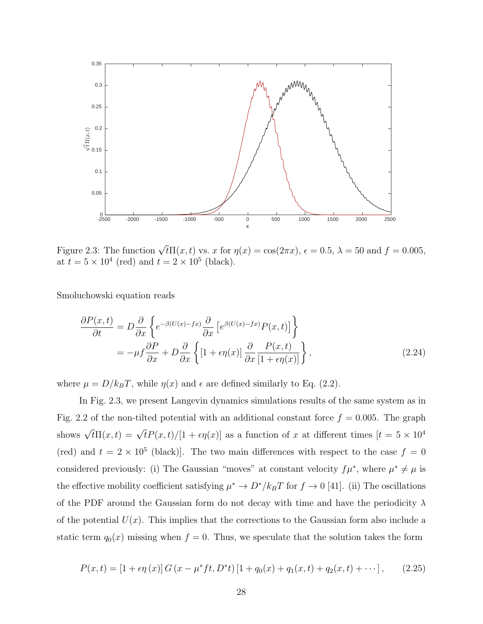

Figure 2.3: The function  $\sqrt{t}\Pi(x,t)$  vs. x for  $\eta(x) = \cos(2\pi x)$ ,  $\epsilon = 0.5$ ,  $\lambda = 50$  and  $f = 0.005$ , at  $t = 5 \times 10^4$  (red) and  $t = 2 \times 10^5$  (black).

Smoluchowski equation reads

$$
\frac{\partial P(x,t)}{\partial t} = D \frac{\partial}{\partial x} \left\{ e^{-\beta (U(x)-fx)} \frac{\partial}{\partial x} \left[ e^{\beta (U(x)-fx)} P(x,t) \right] \right\}
$$

$$
= -\mu f \frac{\partial P}{\partial x} + D \frac{\partial}{\partial x} \left\{ \left[ 1 + \epsilon \eta(x) \right] \frac{\partial}{\partial x} \frac{P(x,t)}{\left[ 1 + \epsilon \eta(x) \right]} \right\},\tag{2.24}
$$

where  $\mu = D/k_BT$ , while  $\eta(x)$  and  $\epsilon$  are defined similarly to Eq. (2.2).

In Fig. 2.3, we present Langevin dynamics simulations results of the same system as in Fig. 2.2 of the non-tilted potential with an additional constant force  $f = 0.005$ . The graph shows  $\sqrt{t}\Pi(x,t) = \sqrt{t}P(x,t)/[1+\epsilon\eta(x)]$  as a function of x at different times  $[t = 5 \times 10^4$ (red) and  $t = 2 \times 10^5$  (black). The two main differences with respect to the case  $f = 0$ considered previously: (i) The Gaussian "moves" at constant velocity  $f\mu^*$ , where  $\mu^* \neq \mu$  is the effective mobility coefficient satisfying  $\mu^* \to D^*/k_BT$  for  $f \to 0$  [41]. (ii) The oscillations of the PDF around the Gaussian form do not decay with time and have the periodicity  $\lambda$ of the potential  $U(x)$ . This implies that the corrections to the Gaussian form also include a static term  $q_0(x)$  missing when  $f = 0$ . Thus, we speculate that the solution takes the form

$$
P(x,t) = [1 + \epsilon \eta(x)] G (x - \mu^* f t, D^* t) [1 + q_0(x) + q_1(x,t) + q_2(x,t) + \cdots], \qquad (2.25)
$$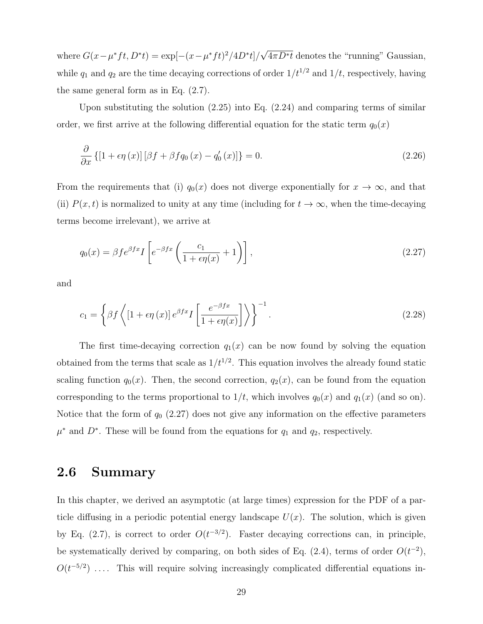where  $G(x - \mu^* ft, D^* t) = \exp[-(x - \mu^* ft)^2 / 4D^* t]$ √  $4\pi D^*t$  denotes the "running" Gaussian, while  $q_1$  and  $q_2$  are the time decaying corrections of order  $1/t^{1/2}$  and  $1/t$ , respectively, having the same general form as in Eq. (2.7).

Upon substituting the solution (2.25) into Eq. (2.24) and comparing terms of similar order, we first arrive at the following differential equation for the static term  $q_0(x)$ 

$$
\frac{\partial}{\partial x}\left\{[1+\epsilon\eta\left(x\right)]\left[\beta f+\beta f q_0\left(x\right)-q_0'\left(x\right)\right]\right\}=0.\tag{2.26}
$$

From the requirements that (i)  $q_0(x)$  does not diverge exponentially for  $x \to \infty$ , and that (ii)  $P(x,t)$  is normalized to unity at any time (including for  $t \to \infty$ , when the time-decaying terms become irrelevant), we arrive at

$$
q_0(x) = \beta f e^{\beta f x} I \left[ e^{-\beta f x} \left( \frac{c_1}{1 + \epsilon \eta(x)} + 1 \right) \right],
$$
\n(2.27)

and

$$
c_1 = \left\{ \beta f \left\{ \left[ 1 + \epsilon \eta \left( x \right) \right] e^{\beta f x} I \left[ \frac{e^{-\beta f x}}{1 + \epsilon \eta(x)} \right] \right\} \right\}^{-1}.
$$
\n(2.28)

The first time-decaying correction  $q_1(x)$  can be now found by solving the equation obtained from the terms that scale as  $1/t^{1/2}$ . This equation involves the already found static scaling function  $q_0(x)$ . Then, the second correction,  $q_2(x)$ , can be found from the equation corresponding to the terms proportional to  $1/t$ , which involves  $q_0(x)$  and  $q_1(x)$  (and so on). Notice that the form of  $q_0$  (2.27) does not give any information on the effective parameters  $\mu^*$  and  $D^*$ . These will be found from the equations for  $q_1$  and  $q_2$ , respectively.

#### 2.6 Summary

In this chapter, we derived an asymptotic (at large times) expression for the PDF of a particle diffusing in a periodic potential energy landscape  $U(x)$ . The solution, which is given by Eq. (2.7), is correct to order  $O(t^{-3/2})$ . Faster decaying corrections can, in principle, be systematically derived by comparing, on both sides of Eq.  $(2.4)$ , terms of order  $O(t^{-2})$ ,  $O(t^{-5/2})$  .... This will require solving increasingly complicated differential equations in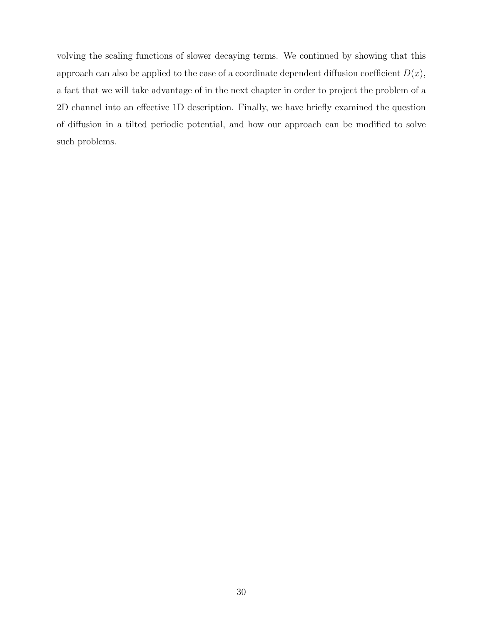volving the scaling functions of slower decaying terms. We continued by showing that this approach can also be applied to the case of a coordinate dependent diffusion coefficient  $D(x)$ , a fact that we will take advantage of in the next chapter in order to project the problem of a 2D channel into an effective 1D description. Finally, we have briefly examined the question of diffusion in a tilted periodic potential, and how our approach can be modified to solve such problems.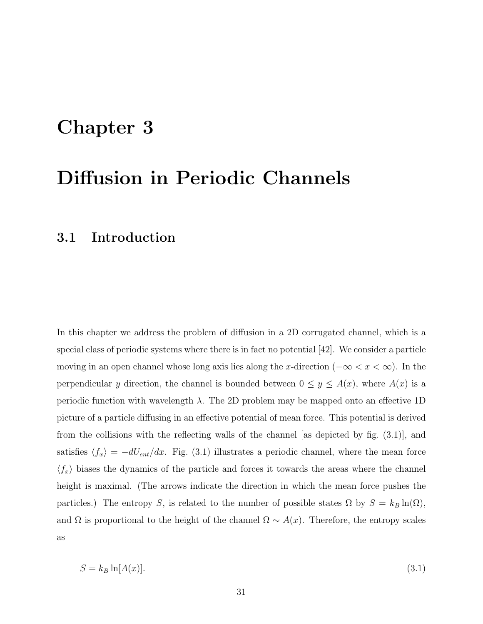## Chapter 3

## Diffusion in Periodic Channels

### 3.1 Introduction

In this chapter we address the problem of diffusion in a 2D corrugated channel, which is a special class of periodic systems where there is in fact no potential [42]. We consider a particle moving in an open channel whose long axis lies along the x-direction ( $-\infty < x < \infty$ ). In the perpendicular y direction, the channel is bounded between  $0 \le y \le A(x)$ , where  $A(x)$  is a periodic function with wavelength  $\lambda$ . The 2D problem may be mapped onto an effective 1D picture of a particle diffusing in an effective potential of mean force. This potential is derived from the collisions with the reflecting walls of the channel [as depicted by fig. (3.1)], and satisfies  $\langle f_x \rangle = -dU_{ent}/dx$ . Fig. (3.1) illustrates a periodic channel, where the mean force  $\langle f_x \rangle$  biases the dynamics of the particle and forces it towards the areas where the channel height is maximal. (The arrows indicate the direction in which the mean force pushes the particles.) The entropy S, is related to the number of possible states  $\Omega$  by  $S = k_B \ln(\Omega)$ , and  $\Omega$  is proportional to the height of the channel  $\Omega \sim A(x)$ . Therefore, the entropy scales as

$$
S = k_B \ln[A(x)]. \tag{3.1}
$$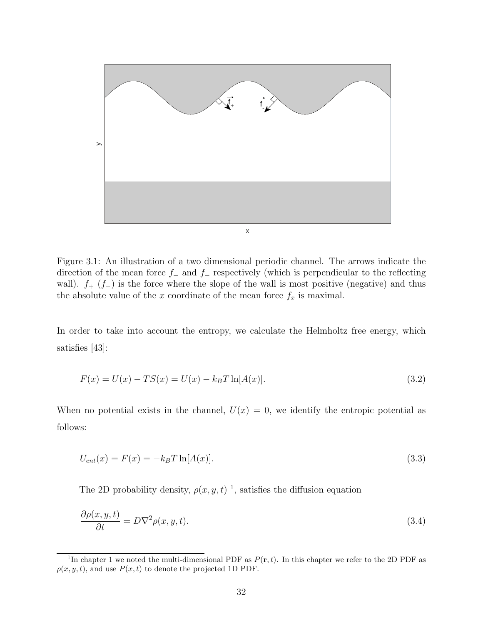

Figure 3.1: An illustration of a two dimensional periodic channel. The arrows indicate the direction of the mean force  $f_+$  and  $f_-\$ respectively (which is perpendicular to the reflecting wall).  $f_{+}$  ( $f_{-}$ ) is the force where the slope of the wall is most positive (negative) and thus the absolute value of the x coordinate of the mean force  $f_x$  is maximal.

In order to take into account the entropy, we calculate the Helmholtz free energy, which satisfies [43]:

$$
F(x) = U(x) - TS(x) = U(x) - k_B T \ln[A(x)].
$$
\n(3.2)

When no potential exists in the channel,  $U(x) = 0$ , we identify the entropic potential as follows:

$$
U_{ent}(x) = F(x) = -k_B T \ln[A(x)].
$$
\n(3.3)

The 2D probability density,  $\rho(x, y, t)$ <sup>1</sup>, satisfies the diffusion equation

$$
\frac{\partial \rho(x, y, t)}{\partial t} = D \nabla^2 \rho(x, y, t). \tag{3.4}
$$

<sup>&</sup>lt;sup>1</sup>In chapter 1 we noted the multi-dimensional PDF as  $P(\mathbf{r}, t)$ . In this chapter we refer to the 2D PDF as  $\rho(x, y, t)$ , and use  $P(x, t)$  to denote the projected 1D PDF.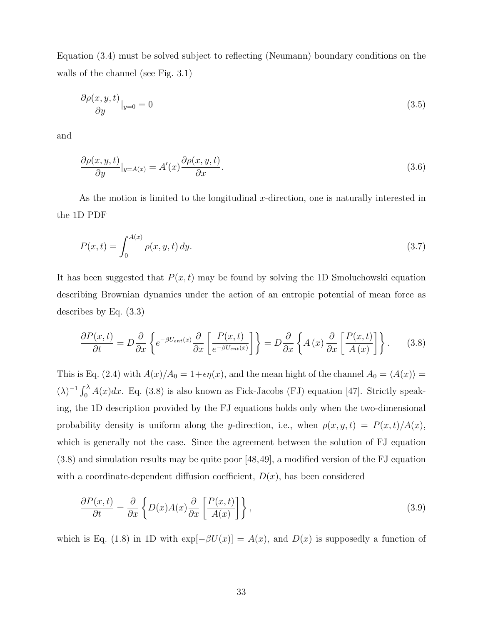Equation (3.4) must be solved subject to reflecting (Neumann) boundary conditions on the walls of the channel (see Fig. 3.1)

$$
\frac{\partial \rho(x, y, t)}{\partial y}|_{y=0} = 0 \tag{3.5}
$$

and

$$
\frac{\partial \rho(x, y, t)}{\partial y}|_{y = A(x)} = A'(x) \frac{\partial \rho(x, y, t)}{\partial x}.
$$
\n(3.6)

As the motion is limited to the longitudinal x-direction, one is naturally interested in the 1D PDF

$$
P(x,t) = \int_0^{A(x)} \rho(x,y,t) \, dy. \tag{3.7}
$$

It has been suggested that  $P(x, t)$  may be found by solving the 1D Smoluchowski equation describing Brownian dynamics under the action of an entropic potential of mean force as describes by Eq. (3.3)

$$
\frac{\partial P(x,t)}{\partial t} = D \frac{\partial}{\partial x} \left\{ e^{-\beta U_{ent}(x)} \frac{\partial}{\partial x} \left[ \frac{P(x,t)}{e^{-\beta U_{ent}(x)}} \right] \right\} = D \frac{\partial}{\partial x} \left\{ A(x) \frac{\partial}{\partial x} \left[ \frac{P(x,t)}{A(x)} \right] \right\}.
$$
 (3.8)

This is Eq. (2.4) with  $A(x)/A_0 = 1+\epsilon \eta(x)$ , and the mean hight of the channel  $A_0 = \langle A(x) \rangle =$  $(\lambda)^{-1} \int_0^{\lambda} A(x) dx$ . Eq. (3.8) is also known as Fick-Jacobs (FJ) equation [47]. Strictly speaking, the 1D description provided by the FJ equations holds only when the two-dimensional probability density is uniform along the y-direction, i.e., when  $\rho(x, y, t) = P(x, t)/A(x)$ , which is generally not the case. Since the agreement between the solution of FJ equation (3.8) and simulation results may be quite poor [48,49], a modified version of the FJ equation with a coordinate-dependent diffusion coefficient,  $D(x)$ , has been considered

$$
\frac{\partial P(x,t)}{\partial t} = \frac{\partial}{\partial x} \left\{ D(x)A(x)\frac{\partial}{\partial x} \left[ \frac{P(x,t)}{A(x)} \right] \right\},\tag{3.9}
$$

which is Eq. (1.8) in 1D with  $\exp[-\beta U(x)] = A(x)$ , and  $D(x)$  is supposedly a function of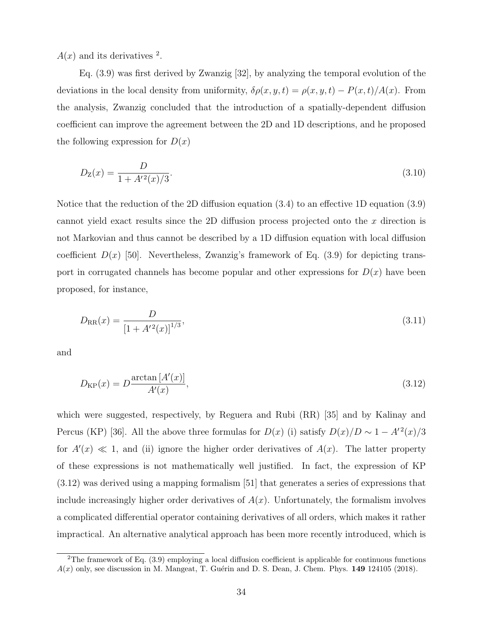$A(x)$  and its derivatives <sup>2</sup>.

Eq. (3.9) was first derived by Zwanzig [32], by analyzing the temporal evolution of the deviations in the local density from uniformity,  $\delta \rho(x, y, t) = \rho(x, y, t) - P(x, t)/A(x)$ . From the analysis, Zwanzig concluded that the introduction of a spatially-dependent diffusion coefficient can improve the agreement between the 2D and 1D descriptions, and he proposed the following expression for  $D(x)$ 

$$
D_{\mathcal{Z}}(x) = \frac{D}{1 + A'^2(x)/3}.\tag{3.10}
$$

Notice that the reduction of the 2D diffusion equation (3.4) to an effective 1D equation (3.9) cannot yield exact results since the 2D diffusion process projected onto the x direction is not Markovian and thus cannot be described by a 1D diffusion equation with local diffusion coefficient  $D(x)$  [50]. Nevertheless, Zwanzig's framework of Eq. (3.9) for depicting transport in corrugated channels has become popular and other expressions for  $D(x)$  have been proposed, for instance,

$$
D_{\rm RR}(x) = \frac{D}{\left[1 + A'^2(x)\right]^{1/3}},\tag{3.11}
$$

and

$$
D_{\rm KP}(x) = D \frac{\arctan\left[A'(x)\right]}{A'(x)},\tag{3.12}
$$

which were suggested, respectively, by Reguera and Rubi (RR) [35] and by Kalinay and Percus (KP) [36]. All the above three formulas for  $D(x)$  (i) satisfy  $D(x)/D \sim 1 - A'^2(x)/3$ for  $A'(x) \ll 1$ , and (ii) ignore the higher order derivatives of  $A(x)$ . The latter property of these expressions is not mathematically well justified. In fact, the expression of KP (3.12) was derived using a mapping formalism [51] that generates a series of expressions that include increasingly higher order derivatives of  $A(x)$ . Unfortunately, the formalism involves a complicated differential operator containing derivatives of all orders, which makes it rather impractical. An alternative analytical approach has been more recently introduced, which is

<sup>&</sup>lt;sup>2</sup>The framework of Eq.  $(3.9)$  employing a local diffusion coefficient is applicable for continuous functions  $A(x)$  only, see discussion in M. Mangeat, T. Guérin and D. S. Dean, J. Chem. Phys. 149 124105 (2018).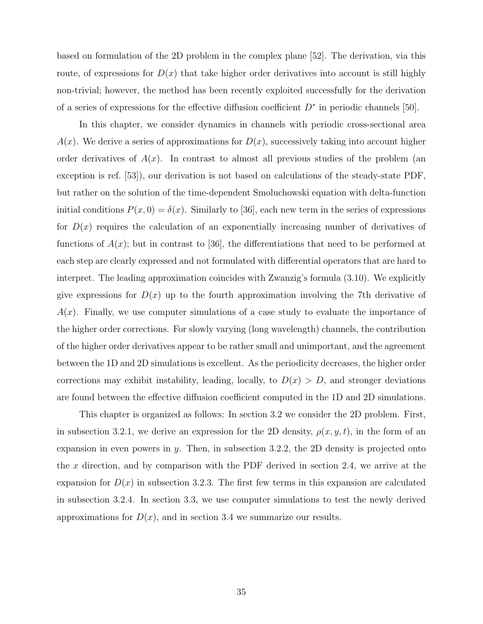based on formulation of the 2D problem in the complex plane [52]. The derivation, via this route, of expressions for  $D(x)$  that take higher order derivatives into account is still highly non-trivial; however, the method has been recently exploited successfully for the derivation of a series of expressions for the effective diffusion coefficient  $D^*$  in periodic channels [50].

In this chapter, we consider dynamics in channels with periodic cross-sectional area  $A(x)$ . We derive a series of approximations for  $D(x)$ , successively taking into account higher order derivatives of  $A(x)$ . In contrast to almost all previous studies of the problem (an exception is ref. [53]), our derivation is not based on calculations of the steady-state PDF, but rather on the solution of the time-dependent Smoluchowski equation with delta-function initial conditions  $P(x, 0) = \delta(x)$ . Similarly to [36], each new term in the series of expressions for  $D(x)$  requires the calculation of an exponentially increasing number of derivatives of functions of  $A(x)$ ; but in contrast to [36], the differentiations that need to be performed at each step are clearly expressed and not formulated with differential operators that are hard to interpret. The leading approximation coincides with Zwanzig's formula (3.10). We explicitly give expressions for  $D(x)$  up to the fourth approximation involving the 7th derivative of  $A(x)$ . Finally, we use computer simulations of a case study to evaluate the importance of the higher order corrections. For slowly varying (long wavelength) channels, the contribution of the higher order derivatives appear to be rather small and unimportant, and the agreement between the 1D and 2D simulations is excellent. As the periodicity decreases, the higher order corrections may exhibit instability, leading, locally, to  $D(x) > D$ , and stronger deviations are found between the effective diffusion coefficient computed in the 1D and 2D simulations.

This chapter is organized as follows: In section 3.2 we consider the 2D problem. First, in subsection 3.2.1, we derive an expression for the 2D density,  $\rho(x, y, t)$ , in the form of an expansion in even powers in  $y$ . Then, in subsection 3.2.2, the 2D density is projected onto the x direction, and by comparison with the PDF derived in section 2.4, we arrive at the expansion for  $D(x)$  in subsection 3.2.3. The first few terms in this expansion are calculated in subsection 3.2.4. In section 3.3, we use computer simulations to test the newly derived approximations for  $D(x)$ , and in section 3.4 we summarize our results.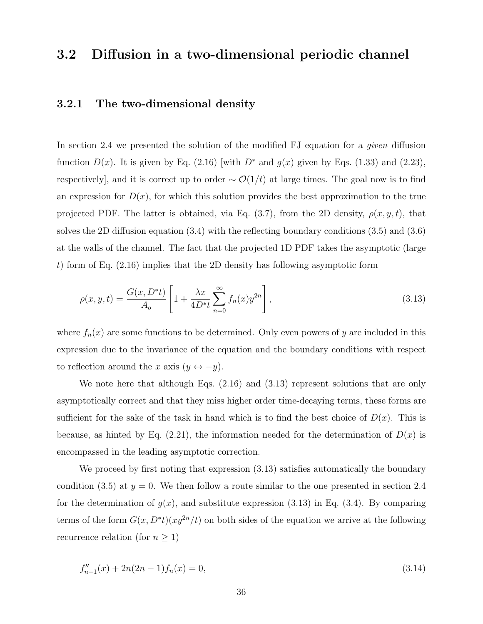#### 3.2 Diffusion in a two-dimensional periodic channel

#### 3.2.1 The two-dimensional density

In section 2.4 we presented the solution of the modified FJ equation for a given diffusion function  $D(x)$ . It is given by Eq. (2.16) [with  $D^*$  and  $g(x)$  given by Eqs. (1.33) and (2.23), respectively], and it is correct up to order  $\sim \mathcal{O}(1/t)$  at large times. The goal now is to find an expression for  $D(x)$ , for which this solution provides the best approximation to the true projected PDF. The latter is obtained, via Eq. (3.7), from the 2D density,  $\rho(x, y, t)$ , that solves the 2D diffusion equation (3.4) with the reflecting boundary conditions (3.5) and (3.6) at the walls of the channel. The fact that the projected 1D PDF takes the asymptotic (large t) form of Eq.  $(2.16)$  implies that the 2D density has following asymptotic form

$$
\rho(x, y, t) = \frac{G(x, D^*t)}{A_o} \left[ 1 + \frac{\lambda x}{4D^*t} \sum_{n=0}^{\infty} f_n(x) y^{2n} \right],
$$
\n(3.13)

where  $f_n(x)$  are some functions to be determined. Only even powers of y are included in this expression due to the invariance of the equation and the boundary conditions with respect to reflection around the x axis  $(y \leftrightarrow -y)$ .

We note here that although Eqs.  $(2.16)$  and  $(3.13)$  represent solutions that are only asymptotically correct and that they miss higher order time-decaying terms, these forms are sufficient for the sake of the task in hand which is to find the best choice of  $D(x)$ . This is because, as hinted by Eq. (2.21), the information needed for the determination of  $D(x)$  is encompassed in the leading asymptotic correction.

We proceed by first noting that expression (3.13) satisfies automatically the boundary condition (3.5) at  $y = 0$ . We then follow a route similar to the one presented in section 2.4 for the determination of  $g(x)$ , and substitute expression (3.13) in Eq. (3.4). By comparing terms of the form  $G(x, D^*t)(xy^{2n}/t)$  on both sides of the equation we arrive at the following recurrence relation (for  $n \geq 1$ )

$$
f''_{n-1}(x) + 2n(2n-1)f_n(x) = 0,
$$
\n(3.14)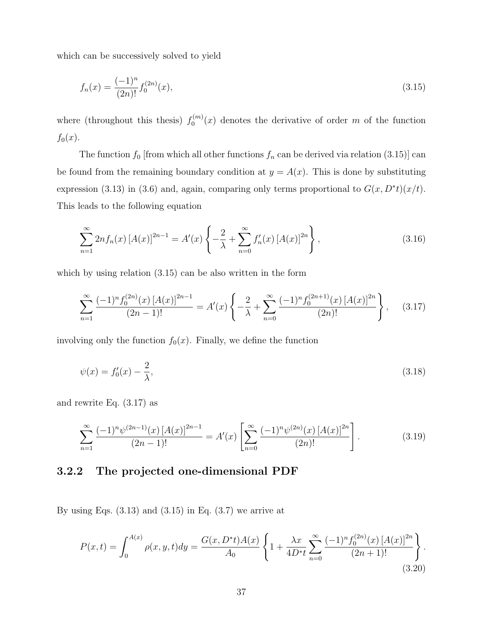which can be successively solved to yield

$$
f_n(x) = \frac{(-1)^n}{(2n)!} f_0^{(2n)}(x),\tag{3.15}
$$

where (throughout this thesis)  $f_0^{(m)}$  $C_0^{(m)}(x)$  denotes the derivative of order m of the function  $f_0(x)$ .

The function  $f_0$  [from which all other functions  $f_n$  can be derived via relation (3.15)] can be found from the remaining boundary condition at  $y = A(x)$ . This is done by substituting expression (3.13) in (3.6) and, again, comparing only terms proportional to  $G(x, D^*t)(x/t)$ . This leads to the following equation

$$
\sum_{n=1}^{\infty} 2n f_n(x) \left[ A(x) \right]^{2n-1} = A'(x) \left\{ -\frac{2}{\lambda} + \sum_{n=0}^{\infty} f'_n(x) \left[ A(x) \right]^{2n} \right\},\tag{3.16}
$$

which by using relation  $(3.15)$  can be also written in the form

$$
\sum_{n=1}^{\infty} \frac{(-1)^n f_0^{(2n)}(x) \left[A(x)\right]^{2n-1}}{(2n-1)!} = A'(x) \left\{ -\frac{2}{\lambda} + \sum_{n=0}^{\infty} \frac{(-1)^n f_0^{(2n+1)}(x) \left[A(x)\right]^{2n}}{(2n)!} \right\}, \quad (3.17)
$$

involving only the function  $f_0(x)$ . Finally, we define the function

$$
\psi(x) = f_0'(x) - \frac{2}{\lambda},\tag{3.18}
$$

and rewrite Eq. (3.17) as

$$
\sum_{n=1}^{\infty} \frac{(-1)^n \psi^{(2n-1)}(x) \left[A(x)\right]^{2n-1}}{(2n-1)!} = A'(x) \left[ \sum_{n=0}^{\infty} \frac{(-1)^n \psi^{(2n)}(x) \left[A(x)\right]^{2n}}{(2n)!} \right].
$$
 (3.19)

#### 3.2.2 The projected one-dimensional PDF

By using Eqs.  $(3.13)$  and  $(3.15)$  in Eq.  $(3.7)$  we arrive at

$$
P(x,t) = \int_0^{A(x)} \rho(x,y,t) dy = \frac{G(x,D^*t)A(x)}{A_0} \left\{ 1 + \frac{\lambda x}{4D^*t} \sum_{n=0}^{\infty} \frac{(-1)^n f_0^{(2n)}(x) [A(x)]^{2n}}{(2n+1)!} \right\}.
$$
\n(3.20)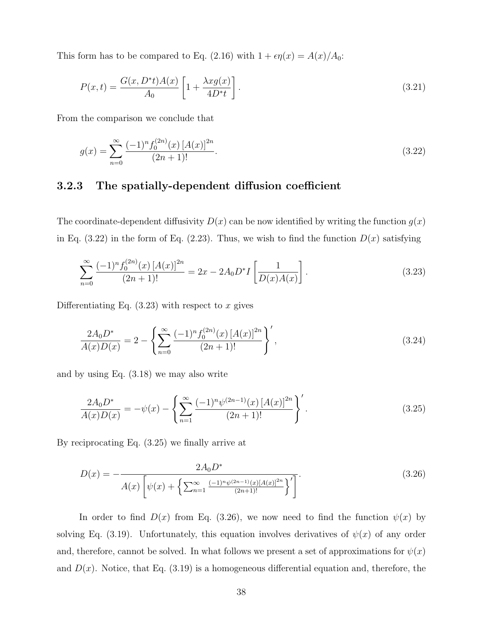This form has to be compared to Eq. (2.16) with  $1 + \epsilon \eta(x) = A(x)/A_0$ :

$$
P(x,t) = \frac{G(x, D^*t)A(x)}{A_0} \left[ 1 + \frac{\lambda x g(x)}{4D^*t} \right].
$$
 (3.21)

From the comparison we conclude that

$$
g(x) = \sum_{n=0}^{\infty} \frac{(-1)^n f_0^{(2n)}(x) [A(x)]^{2n}}{(2n+1)!}.
$$
\n(3.22)

#### 3.2.3 The spatially-dependent diffusion coefficient

The coordinate-dependent diffusivity  $D(x)$  can be now identified by writing the function  $g(x)$ in Eq.  $(3.22)$  in the form of Eq.  $(2.23)$ . Thus, we wish to find the function  $D(x)$  satisfying

$$
\sum_{n=0}^{\infty} \frac{(-1)^n f_0^{(2n)}(x) [A(x)]^{2n}}{(2n+1)!} = 2x - 2A_0 D^* I \left[ \frac{1}{D(x)A(x)} \right].
$$
\n(3.23)

Differentiating Eq.  $(3.23)$  with respect to x gives

$$
\frac{2A_0 D^*}{A(x)D(x)} = 2 - \left\{ \sum_{n=0}^{\infty} \frac{(-1)^n f_0^{(2n)}(x) [A(x)]^{2n}}{(2n+1)!} \right\}',\tag{3.24}
$$

and by using Eq. (3.18) we may also write

$$
\frac{2A_0 D^*}{A(x)D(x)} = -\psi(x) - \left\{ \sum_{n=1}^{\infty} \frac{(-1)^n \psi^{(2n-1)}(x) [A(x)]^{2n}}{(2n+1)!} \right\}'.
$$
\n(3.25)

By reciprocating Eq. (3.25) we finally arrive at

$$
D(x) = -\frac{2A_0 D^*}{A(x)\left[\psi(x) + \left\{\sum_{n=1}^{\infty} \frac{(-1)^n \psi^{(2n-1)}(x)[A(x)]^{2n}}{(2n+1)!}\right\}'\right]}.
$$
\n(3.26)

In order to find  $D(x)$  from Eq. (3.26), we now need to find the function  $\psi(x)$  by solving Eq. (3.19). Unfortunately, this equation involves derivatives of  $\psi(x)$  of any order and, therefore, cannot be solved. In what follows we present a set of approximations for  $\psi(x)$ and  $D(x)$ . Notice, that Eq. (3.19) is a homogeneous differential equation and, therefore, the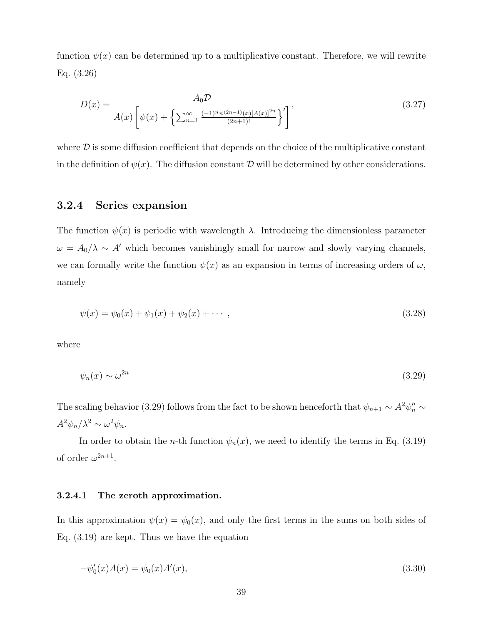function  $\psi(x)$  can be determined up to a multiplicative constant. Therefore, we will rewrite Eq. (3.26)

$$
D(x) = \frac{A_0 \mathcal{D}}{A(x) \left[ \psi(x) + \left\{ \sum_{n=1}^{\infty} \frac{(-1)^n \psi^{(2n-1)}(x) [A(x)]^{2n}}{(2n+1)!} \right\}^{\prime} \right]},
$$
\n(3.27)

where  $\mathcal D$  is some diffusion coefficient that depends on the choice of the multiplicative constant in the definition of  $\psi(x)$ . The diffusion constant D will be determined by other considerations.

#### 3.2.4 Series expansion

The function  $\psi(x)$  is periodic with wavelength  $\lambda$ . Introducing the dimensionless parameter  $\omega = A_0/\lambda \sim A'$  which becomes vanishingly small for narrow and slowly varying channels, we can formally write the function  $\psi(x)$  as an expansion in terms of increasing orders of  $\omega$ , namely

$$
\psi(x) = \psi_0(x) + \psi_1(x) + \psi_2(x) + \cdots , \qquad (3.28)
$$

where

$$
\psi_n(x) \sim \omega^{2n} \tag{3.29}
$$

The scaling behavior (3.29) follows from the fact to be shown henceforth that  $\psi_{n+1} \sim A^2 \psi''_n \sim$  $A^2\psi_n/\lambda^2 \sim \omega^2\psi_n$ .

In order to obtain the *n*-th function  $\psi_n(x)$ , we need to identify the terms in Eq. (3.19) of order  $\omega^{2n+1}$ .

#### 3.2.4.1 The zeroth approximation.

In this approximation  $\psi(x) = \psi_0(x)$ , and only the first terms in the sums on both sides of Eq. (3.19) are kept. Thus we have the equation

$$
-\psi_0'(x)A(x) = \psi_0(x)A'(x),
$$
\n(3.30)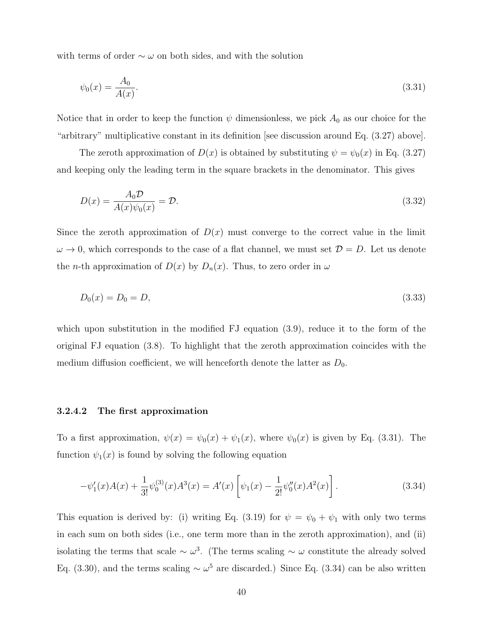with terms of order  $\sim \omega$  on both sides, and with the solution

$$
\psi_0(x) = \frac{A_0}{A(x)}.\tag{3.31}
$$

Notice that in order to keep the function  $\psi$  dimensionless, we pick  $A_0$  as our choice for the "arbitrary" multiplicative constant in its definition [see discussion around Eq. (3.27) above].

The zeroth approximation of  $D(x)$  is obtained by substituting  $\psi = \psi_0(x)$  in Eq. (3.27) and keeping only the leading term in the square brackets in the denominator. This gives

$$
D(x) = \frac{A_0 \mathcal{D}}{A(x)\psi_0(x)} = \mathcal{D}.\tag{3.32}
$$

Since the zeroth approximation of  $D(x)$  must converge to the correct value in the limit  $\omega \to 0$ , which corresponds to the case of a flat channel, we must set  $\mathcal{D} = D$ . Let us denote the *n*-th approximation of  $D(x)$  by  $D_n(x)$ . Thus, to zero order in  $\omega$ 

$$
D_0(x) = D_0 = D,\t\t(3.33)
$$

which upon substitution in the modified FJ equation  $(3.9)$ , reduce it to the form of the original FJ equation (3.8). To highlight that the zeroth approximation coincides with the medium diffusion coefficient, we will henceforth denote the latter as  $D_0$ .

#### 3.2.4.2 The first approximation

To a first approximation,  $\psi(x) = \psi_0(x) + \psi_1(x)$ , where  $\psi_0(x)$  is given by Eq. (3.31). The function  $\psi_1(x)$  is found by solving the following equation

$$
-\psi_1'(x)A(x) + \frac{1}{3!}\psi_0^{(3)}(x)A^3(x) = A'(x)\left[\psi_1(x) - \frac{1}{2!}\psi_0''(x)A^2(x)\right].
$$
\n(3.34)

This equation is derived by: (i) writing Eq. (3.19) for  $\psi = \psi_0 + \psi_1$  with only two terms in each sum on both sides (i.e., one term more than in the zeroth approximation), and (ii) isolating the terms that scale  $\sim \omega^3$ . (The terms scaling  $\sim \omega$  constitute the already solved Eq. (3.30), and the terms scaling  $\sim \omega^5$  are discarded.) Since Eq. (3.34) can be also written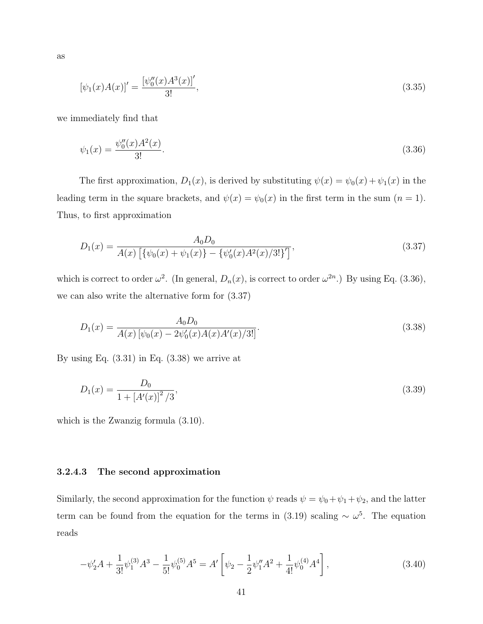as

$$
[\psi_1(x)A(x)]' = \frac{[\psi_0''(x)A^3(x)]'}{3!},
$$
\n(3.35)

we immediately find that

$$
\psi_1(x) = \frac{\psi_0''(x)A^2(x)}{3!}.\tag{3.36}
$$

The first approximation,  $D_1(x)$ , is derived by substituting  $\psi(x) = \psi_0(x) + \psi_1(x)$  in the leading term in the square brackets, and  $\psi(x) = \psi_0(x)$  in the first term in the sum  $(n = 1)$ . Thus, to first approximation

$$
D_1(x) = \frac{A_0 D_0}{A(x) \left[ \{ \psi_0(x) + \psi_1(x) \} - \{ \psi'_0(x) A^2(x) / 3! \}' \right]},
$$
\n(3.37)

which is correct to order  $\omega^2$ . (In general,  $D_n(x)$ , is correct to order  $\omega^{2n}$ .) By using Eq. (3.36), we can also write the alternative form for (3.37)

$$
D_1(x) = \frac{A_0 D_0}{A(x) \left[ \psi_0(x) - 2\psi_0'(x)A(x)A'(x)/3! \right]}.
$$
\n(3.38)

By using Eq.  $(3.31)$  in Eq.  $(3.38)$  we arrive at

$$
D_1(x) = \frac{D_0}{1 + [A'(x)]^2 / 3},\tag{3.39}
$$

which is the Zwanzig formula (3.10).

#### 3.2.4.3 The second approximation

Similarly, the second approximation for the function  $\psi$  reads  $\psi = \psi_0 + \psi_1 + \psi_2$ , and the latter term can be found from the equation for the terms in (3.19) scaling  $\sim \omega^5$ . The equation reads

$$
-\psi_2'A + \frac{1}{3!}\psi_1^{(3)}A^3 - \frac{1}{5!}\psi_0^{(5)}A^5 = A'\left[\psi_2 - \frac{1}{2}\psi_1''A^2 + \frac{1}{4!}\psi_0^{(4)}A^4\right],\tag{3.40}
$$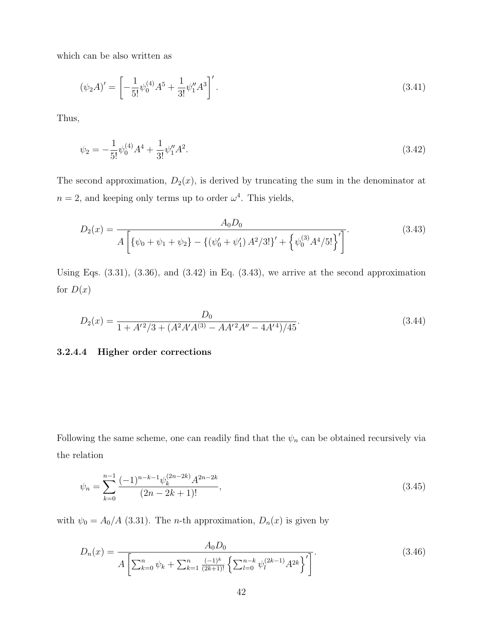which can be also written as

$$
(\psi_2 A)' = \left[ -\frac{1}{5!} \psi_0^{(4)} A^5 + \frac{1}{3!} \psi_1'' A^3 \right]'.
$$
\n(3.41)

Thus,

$$
\psi_2 = -\frac{1}{5!} \psi_0^{(4)} A^4 + \frac{1}{3!} \psi_1'' A^2. \tag{3.42}
$$

The second approximation,  $D_2(x)$ , is derived by truncating the sum in the denominator at  $n = 2$ , and keeping only terms up to order  $\omega^4$ . This yields,

$$
D_2(x) = \frac{A_0 D_0}{A \left[ \{ \psi_0 + \psi_1 + \psi_2 \} - \{ (\psi'_0 + \psi'_1) A^2 / 3! \}' + \{ \psi_0^{(3)} A^4 / 5! \} \right]^{\prime} }.
$$
(3.43)

Using Eqs.  $(3.31)$ ,  $(3.36)$ , and  $(3.42)$  in Eq.  $(3.43)$ , we arrive at the second approximation for  $D(x)$ 

$$
D_2(x) = \frac{D_0}{1 + A'^2/3 + (A^2 A' A^{(3)} - A A'^2 A'' - 4A'^4)/45}.
$$
\n(3.44)

#### 3.2.4.4 Higher order corrections

Following the same scheme, one can readily find that the  $\psi_n$  can be obtained recursively via the relation

$$
\psi_n = \sum_{k=0}^{n-1} \frac{(-1)^{n-k-1} \psi_k^{(2n-2k)} A^{2n-2k}}{(2n-2k+1)!},
$$
\n(3.45)

with  $\psi_0 = A_0/A$  (3.31). The *n*-th approximation,  $D_n(x)$  is given by

$$
D_n(x) = \frac{A_0 D_0}{A \left[ \sum_{k=0}^n \psi_k + \sum_{k=1}^n \frac{(-1)^k}{(2k+1)!} \left\{ \sum_{l=0}^{n-k} \psi_l^{(2k-1)} A^{2k} \right\}^{\prime} \right]}.
$$
(3.46)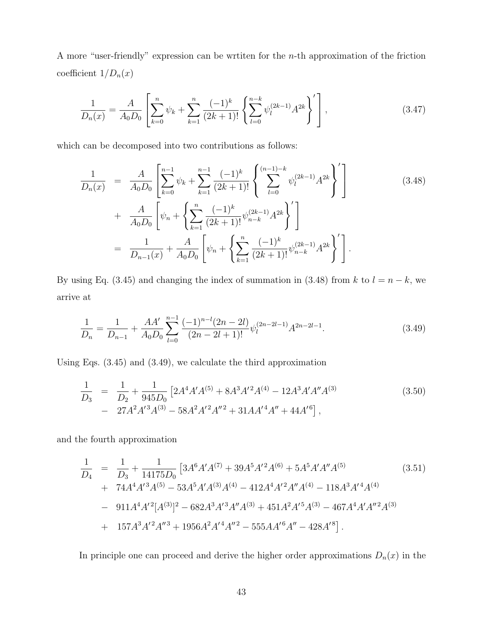A more "user-friendly" expression can be wrtiten for the n-th approximation of the friction coefficient  $1/{\cal D}_n(x)$ 

$$
\frac{1}{D_n(x)} = \frac{A}{A_0 D_0} \left[ \sum_{k=0}^n \psi_k + \sum_{k=1}^n \frac{(-1)^k}{(2k+1)!} \left\{ \sum_{l=0}^{n-k} \psi_l^{(2k-1)} A^{2k} \right\}' \right],\tag{3.47}
$$

which can be decomposed into two contributions as follows:

$$
\frac{1}{D_n(x)} = \frac{A}{A_0 D_0} \left[ \sum_{k=0}^{n-1} \psi_k + \sum_{k=1}^{n-1} \frac{(-1)^k}{(2k+1)!} \left\{ \sum_{l=0}^{(n-1)-k} \psi_l^{(2k-1)} A^{2k} \right\}' \right] \n+ \frac{A}{A_0 D_0} \left[ \psi_n + \left\{ \sum_{k=1}^n \frac{(-1)^k}{(2k+1)!} \psi_{n-k}^{(2k-1)} A^{2k} \right\}' \right] \n= \frac{1}{D_{n-1}(x)} + \frac{A}{A_0 D_0} \left[ \psi_n + \left\{ \sum_{k=1}^n \frac{(-1)^k}{(2k+1)!} \psi_{n-k}^{(2k-1)} A^{2k} \right\}' \right].
$$
\n(3.48)

By using Eq. (3.45) and changing the index of summation in (3.48) from k to  $l = n - k$ , we arrive at

$$
\frac{1}{D_n} = \frac{1}{D_{n-1}} + \frac{AA'}{A_0 D_0} \sum_{l=0}^{n-1} \frac{(-1)^{n-l} (2n-2l)}{(2n-2l+1)!} \psi_l^{(2n-2l-1)} A^{2n-2l-1}.
$$
\n(3.49)

Using Eqs. (3.45) and (3.49), we calculate the third approximation

$$
\frac{1}{D_3} = \frac{1}{D_2} + \frac{1}{945D_0} \left[ 2A^4 A' A^{(5)} + 8A^3 A'^2 A^{(4)} - 12A^3 A' A'' A^{(3)} \right] - 27A^2 A'^3 A^{(3)} - 58A^2 A'^2 A''^2 + 31A A'^4 A'' + 44A'^6 \right],
$$
\n(3.50)

and the fourth approximation

$$
\frac{1}{D_4} = \frac{1}{D_3} + \frac{1}{14175D_0} \left[ 3A^6 A' A^{(7)} + 39A^5 A'^2 A^{(6)} + 5A^5 A' A'' A^{(5)} \right. \tag{3.51}
$$
\n
$$
+ 74A^4 A'^3 A^{(5)} - 53A^5 A' A^{(3)} A^{(4)} - 412A^4 A'^2 A'' A^{(4)} - 118A^3 A'^4 A^{(4)}
$$
\n
$$
- 911A^4 A'^2 [A^{(3)}]^2 - 682A^3 A'^3 A'' A^{(3)} + 451A^2 A'^5 A^{(3)} - 467A^4 A' A''^2 A^{(3)}
$$
\n
$$
+ 157A^3 A'^2 A''^3 + 1956A^2 A'^4 A''^2 - 555A A'^6 A'' - 428A'^8 \right]. \tag{3.51}
$$

In principle one can proceed and derive the higher order approximations  $D_n(x)$  in the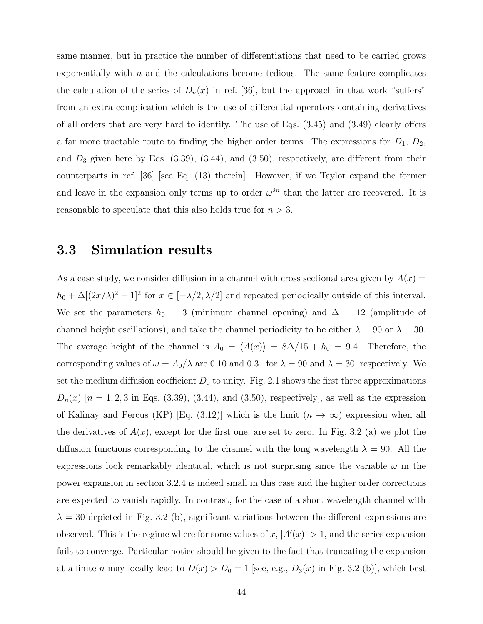same manner, but in practice the number of differentiations that need to be carried grows exponentially with  $n$  and the calculations become tedious. The same feature complicates the calculation of the series of  $D_n(x)$  in ref. [36], but the approach in that work "suffers" from an extra complication which is the use of differential operators containing derivatives of all orders that are very hard to identify. The use of Eqs. (3.45) and (3.49) clearly offers a far more tractable route to finding the higher order terms. The expressions for  $D_1$ ,  $D_2$ , and  $D_3$  given here by Eqs.  $(3.39)$ ,  $(3.44)$ , and  $(3.50)$ , respectively, are different from their counterparts in ref. [36] [see Eq. (13) therein]. However, if we Taylor expand the former and leave in the expansion only terms up to order  $\omega^{2n}$  than the latter are recovered. It is reasonable to speculate that this also holds true for  $n > 3$ .

#### 3.3 Simulation results

As a case study, we consider diffusion in a channel with cross sectional area given by  $A(x) =$  $h_0 + \Delta[(2x/\lambda)^2 - 1]^2$  for  $x \in [-\lambda/2, \lambda/2]$  and repeated periodically outside of this interval. We set the parameters  $h_0 = 3$  (minimum channel opening) and  $\Delta = 12$  (amplitude of channel height oscillations), and take the channel periodicity to be either  $\lambda = 90$  or  $\lambda = 30$ . The average height of the channel is  $A_0 = \langle A(x) \rangle = 8\Delta/15 + h_0 = 9.4$ . Therefore, the corresponding values of  $\omega = A_0/\lambda$  are 0.10 and 0.31 for  $\lambda = 90$  and  $\lambda = 30$ , respectively. We set the medium diffusion coefficient  $D_0$  to unity. Fig. 2.1 shows the first three approximations  $D_n(x)$  [n = 1, 2, 3 in Eqs. (3.39), (3.44), and (3.50), respectively], as well as the expression of Kalinay and Percus (KP) [Eq. (3.12)] which is the limit  $(n \to \infty)$  expression when all the derivatives of  $A(x)$ , except for the first one, are set to zero. In Fig. 3.2 (a) we plot the diffusion functions corresponding to the channel with the long wavelength  $\lambda = 90$ . All the expressions look remarkably identical, which is not surprising since the variable  $\omega$  in the power expansion in section 3.2.4 is indeed small in this case and the higher order corrections are expected to vanish rapidly. In contrast, for the case of a short wavelength channel with  $\lambda = 30$  depicted in Fig. 3.2 (b), significant variations between the different expressions are observed. This is the regime where for some values of x,  $|A'(x)| > 1$ , and the series expansion fails to converge. Particular notice should be given to the fact that truncating the expansion at a finite n may locally lead to  $D(x) > D_0 = 1$  [see, e.g.,  $D_3(x)$  in Fig. 3.2 (b)], which best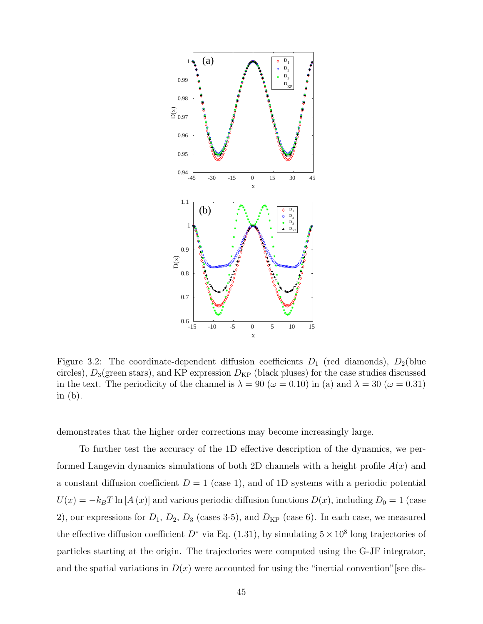

Figure 3.2: The coordinate-dependent diffusion coefficients  $D_1$  (red diamonds),  $D_2$ (blue circles),  $D_3$ (green stars), and KP expression  $D_{KP}$  (black pluses) for the case studies discussed in the text. The periodicity of the channel is  $\lambda = 90 \; (\omega = 0.10)$  in (a) and  $\lambda = 30 \; (\omega = 0.31)$ in (b).

demonstrates that the higher order corrections may become increasingly large.

To further test the accuracy of the 1D effective description of the dynamics, we performed Langevin dynamics simulations of both 2D channels with a height profile  $A(x)$  and a constant diffusion coefficient  $D = 1$  (case 1), and of 1D systems with a periodic potential  $U(x) = -k_BT \ln [A(x)]$  and various periodic diffusion functions  $D(x)$ , including  $D_0 = 1$  (case 2), our expressions for  $D_1$ ,  $D_2$ ,  $D_3$  (cases 3-5), and  $D_{KP}$  (case 6). In each case, we measured the effective diffusion coefficient  $D^*$  via Eq. (1.31), by simulating  $5 \times 10^8$  long trajectories of particles starting at the origin. The trajectories were computed using the G-JF integrator, and the spatial variations in  $D(x)$  were accounted for using the "inertial convention" [see dis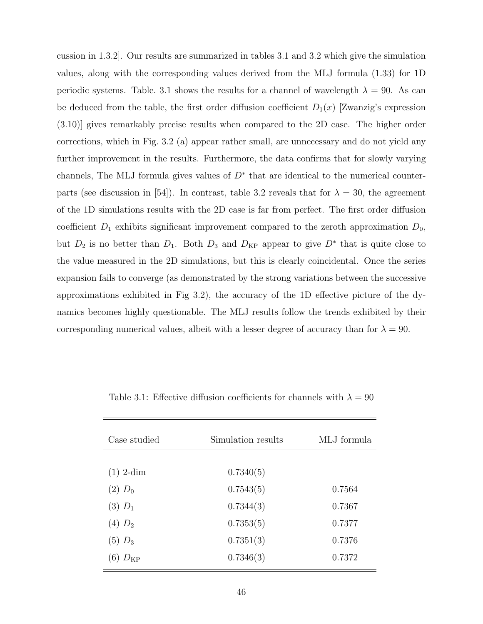cussion in 1.3.2]. Our results are summarized in tables 3.1 and 3.2 which give the simulation values, along with the corresponding values derived from the MLJ formula (1.33) for 1D periodic systems. Table. 3.1 shows the results for a channel of wavelength  $\lambda = 90$ . As can be deduced from the table, the first order diffusion coefficient  $D_1(x)$  [Zwanzig's expression (3.10)] gives remarkably precise results when compared to the 2D case. The higher order corrections, which in Fig. 3.2 (a) appear rather small, are unnecessary and do not yield any further improvement in the results. Furthermore, the data confirms that for slowly varying channels, The MLJ formula gives values of  $D^*$  that are identical to the numerical counterparts (see discussion in [54]). In contrast, table 3.2 reveals that for  $\lambda = 30$ , the agreement of the 1D simulations results with the 2D case is far from perfect. The first order diffusion coefficient  $D_1$  exhibits significant improvement compared to the zeroth approximation  $D_0$ , but  $D_2$  is no better than  $D_1$ . Both  $D_3$  and  $D_{KP}$  appear to give  $D^*$  that is quite close to the value measured in the 2D simulations, but this is clearly coincidental. Once the series expansion fails to converge (as demonstrated by the strong variations between the successive approximations exhibited in Fig 3.2), the accuracy of the 1D effective picture of the dynamics becomes highly questionable. The MLJ results follow the trends exhibited by their corresponding numerical values, albeit with a lesser degree of accuracy than for  $\lambda = 90$ .

| Case studied | Simulation results | MLJ formula |
|--------------|--------------------|-------------|
|              |                    |             |
| $(1)$ 2-dim  | 0.7340(5)          |             |
| $(2) D_0$    | 0.7543(5)          | 0.7564      |
| $(3)$ $D_1$  | 0.7344(3)          | 0.7367      |
| $(4) D_2$    | 0.7353(5)          | 0.7377      |
| $(5)$ $D_3$  | 0.7351(3)          | 0.7376      |
| $D_{\rm KP}$ | 0.7346(3)          | 0.7372      |
|              |                    |             |

Table 3.1: Effective diffusion coefficients for channels with  $\lambda = 90$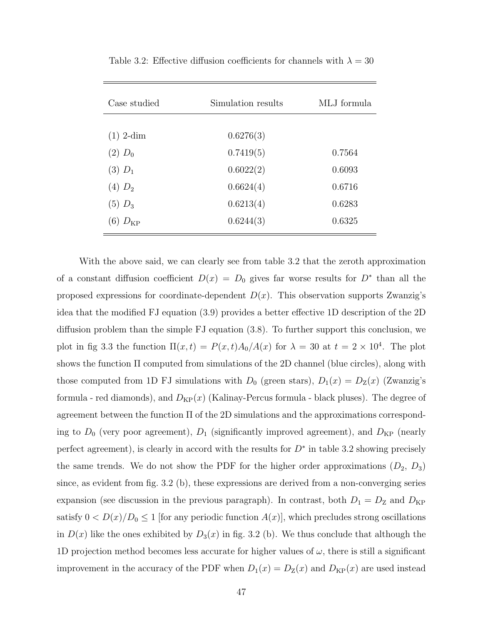| Case studied | Simulation results | MLJ formula |
|--------------|--------------------|-------------|
|              |                    |             |
| $(1)$ 2-dim  | 0.6276(3)          |             |
| $(2) D_0$    | 0.7419(5)          | 0.7564      |
| $(3) D_1$    | 0.6022(2)          | 0.6093      |
| $(4) D_2$    | 0.6624(4)          | 0.6716      |
| $(5)$ $D_3$  | 0.6213(4)          | 0.6283      |
| $D_{\rm KP}$ | 0.6244(3)          | 0.6325      |

Table 3.2: Effective diffusion coefficients for channels with  $\lambda = 30$ 

With the above said, we can clearly see from table 3.2 that the zeroth approximation of a constant diffusion coefficient  $D(x) = D_0$  gives far worse results for  $D^*$  than all the proposed expressions for coordinate-dependent  $D(x)$ . This observation supports Zwanzig's idea that the modified FJ equation (3.9) provides a better effective 1D description of the 2D diffusion problem than the simple FJ equation (3.8). To further support this conclusion, we plot in fig 3.3 the function  $\Pi(x,t) = P(x,t)A_0/A(x)$  for  $\lambda = 30$  at  $t = 2 \times 10^4$ . The plot shows the function Π computed from simulations of the 2D channel (blue circles), along with those computed from 1D FJ simulations with  $D_0$  (green stars),  $D_1(x) = D_Z(x)$  (Zwanzig's formula - red diamonds), and  $D_{KP}(x)$  (Kalinay-Percus formula - black pluses). The degree of agreement between the function  $\Pi$  of the 2D simulations and the approximations corresponding to  $D_0$  (very poor agreement),  $D_1$  (significantly improved agreement), and  $D_{\text{KP}}$  (nearly perfect agreement), is clearly in accord with the results for  $D^*$  in table 3.2 showing precisely the same trends. We do not show the PDF for the higher order approximations  $(D_2, D_3)$ since, as evident from fig. 3.2 (b), these expressions are derived from a non-converging series expansion (see discussion in the previous paragraph). In contrast, both  $D_1 = D_Z$  and  $D_{KP}$ satisfy  $0 < D(x)/D_0 \le 1$  [for any periodic function  $A(x)$ ], which precludes strong oscillations in  $D(x)$  like the ones exhibited by  $D_3(x)$  in fig. 3.2 (b). We thus conclude that although the 1D projection method becomes less accurate for higher values of  $\omega$ , there is still a significant improvement in the accuracy of the PDF when  $D_1(x) = D_2(x)$  and  $D_{KP}(x)$  are used instead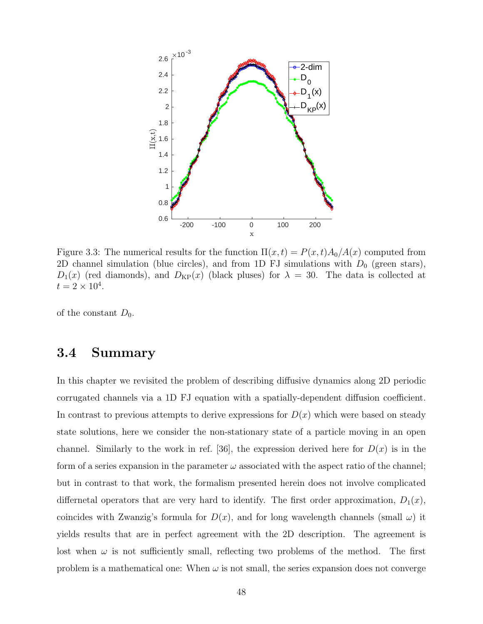

Figure 3.3: The numerical results for the function  $\Pi(x,t) = P(x,t)A_0/A(x)$  computed from 2D channel simulation (blue circles), and from 1D FJ simulations with  $D_0$  (green stars),  $D_1(x)$  (red diamonds), and  $D_{KP}(x)$  (black pluses) for  $\lambda = 30$ . The data is collected at  $t = 2 \times 10^4$ .

of the constant  $D_0$ .

### 3.4 Summary

In this chapter we revisited the problem of describing diffusive dynamics along 2D periodic corrugated channels via a 1D FJ equation with a spatially-dependent diffusion coefficient. In contrast to previous attempts to derive expressions for  $D(x)$  which were based on steady state solutions, here we consider the non-stationary state of a particle moving in an open channel. Similarly to the work in ref. [36], the expression derived here for  $D(x)$  is in the form of a series expansion in the parameter  $\omega$  associated with the aspect ratio of the channel; but in contrast to that work, the formalism presented herein does not involve complicated differnetal operators that are very hard to identify. The first order approximation,  $D_1(x)$ , coincides with Zwanzig's formula for  $D(x)$ , and for long wavelength channels (small  $\omega$ ) it yields results that are in perfect agreement with the 2D description. The agreement is lost when  $\omega$  is not sufficiently small, reflecting two problems of the method. The first problem is a mathematical one: When  $\omega$  is not small, the series expansion does not converge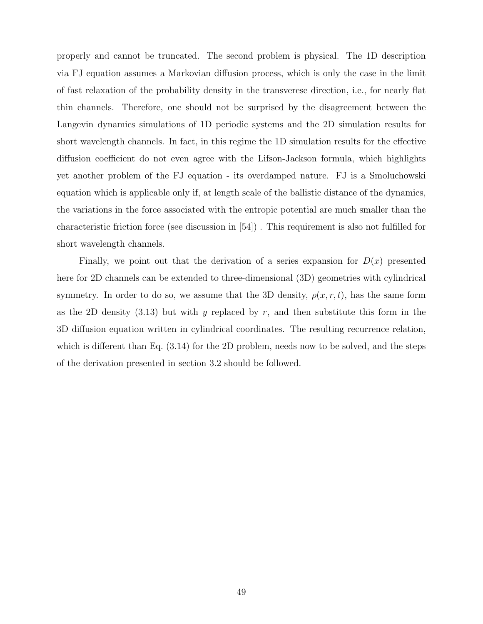properly and cannot be truncated. The second problem is physical. The 1D description via FJ equation assumes a Markovian diffusion process, which is only the case in the limit of fast relaxation of the probability density in the transverese direction, i.e., for nearly flat thin channels. Therefore, one should not be surprised by the disagreement between the Langevin dynamics simulations of 1D periodic systems and the 2D simulation results for short wavelength channels. In fact, in this regime the 1D simulation results for the effective diffusion coefficient do not even agree with the Lifson-Jackson formula, which highlights yet another problem of the FJ equation - its overdamped nature. FJ is a Smoluchowski equation which is applicable only if, at length scale of the ballistic distance of the dynamics, the variations in the force associated with the entropic potential are much smaller than the characteristic friction force (see discussion in [54]) . This requirement is also not fulfilled for short wavelength channels.

Finally, we point out that the derivation of a series expansion for  $D(x)$  presented here for 2D channels can be extended to three-dimensional (3D) geometries with cylindrical symmetry. In order to do so, we assume that the 3D density,  $\rho(x, r, t)$ , has the same form as the 2D density  $(3.13)$  but with y replaced by r, and then substitute this form in the 3D diffusion equation written in cylindrical coordinates. The resulting recurrence relation, which is different than Eq.  $(3.14)$  for the 2D problem, needs now to be solved, and the steps of the derivation presented in section 3.2 should be followed.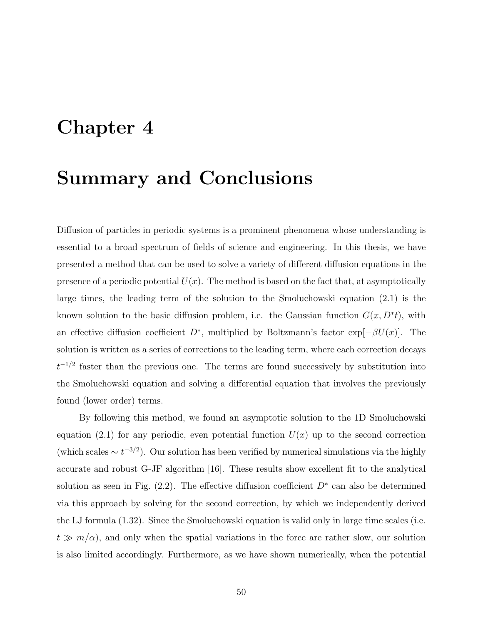## Chapter 4

## Summary and Conclusions

Diffusion of particles in periodic systems is a prominent phenomena whose understanding is essential to a broad spectrum of fields of science and engineering. In this thesis, we have presented a method that can be used to solve a variety of different diffusion equations in the presence of a periodic potential  $U(x)$ . The method is based on the fact that, at asymptotically large times, the leading term of the solution to the Smoluchowski equation (2.1) is the known solution to the basic diffusion problem, i.e. the Gaussian function  $G(x, D^*t)$ , with an effective diffusion coefficient  $D^*$ , multiplied by Boltzmann's factor exp[ $-\beta U(x)$ ]. The solution is written as a series of corrections to the leading term, where each correction decays  $t^{-1/2}$  faster than the previous one. The terms are found successively by substitution into the Smoluchowski equation and solving a differential equation that involves the previously found (lower order) terms.

By following this method, we found an asymptotic solution to the 1D Smoluchowski equation (2.1) for any periodic, even potential function  $U(x)$  up to the second correction (which scales  $\sim t^{-3/2}$ ). Our solution has been verified by numerical simulations via the highly accurate and robust G-JF algorithm [16]. These results show excellent fit to the analytical solution as seen in Fig.  $(2.2)$ . The effective diffusion coefficient  $D^*$  can also be determined via this approach by solving for the second correction, by which we independently derived the LJ formula (1.32). Since the Smoluchowski equation is valid only in large time scales (i.e.  $t \gg m/\alpha$ , and only when the spatial variations in the force are rather slow, our solution is also limited accordingly. Furthermore, as we have shown numerically, when the potential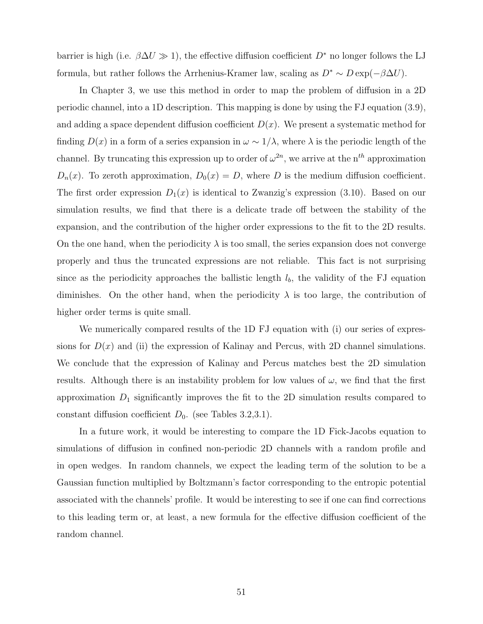barrier is high (i.e.  $\beta \Delta U \gg 1$ ), the effective diffusion coefficient  $D^*$  no longer follows the LJ formula, but rather follows the Arrhenius-Kramer law, scaling as  $D^* \sim D \exp(-\beta \Delta U)$ .

In Chapter 3, we use this method in order to map the problem of diffusion in a 2D periodic channel, into a 1D description. This mapping is done by using the FJ equation (3.9), and adding a space dependent diffusion coefficient  $D(x)$ . We present a systematic method for finding  $D(x)$  in a form of a series expansion in  $\omega \sim 1/\lambda$ , where  $\lambda$  is the periodic length of the channel. By truncating this expression up to order of  $\omega^{2n}$ , we arrive at the n<sup>th</sup> approximation  $D_n(x)$ . To zeroth approximation,  $D_0(x) = D$ , where D is the medium diffusion coefficient. The first order expression  $D_1(x)$  is identical to Zwanzig's expression (3.10). Based on our simulation results, we find that there is a delicate trade off between the stability of the expansion, and the contribution of the higher order expressions to the fit to the 2D results. On the one hand, when the periodicity  $\lambda$  is too small, the series expansion does not converge properly and thus the truncated expressions are not reliable. This fact is not surprising since as the periodicity approaches the ballistic length  $l<sub>b</sub>$ , the validity of the FJ equation diminishes. On the other hand, when the periodicity  $\lambda$  is too large, the contribution of higher order terms is quite small.

We numerically compared results of the 1D FJ equation with (i) our series of expressions for  $D(x)$  and (ii) the expression of Kalinay and Percus, with 2D channel simulations. We conclude that the expression of Kalinay and Percus matches best the 2D simulation results. Although there is an instability problem for low values of  $\omega$ , we find that the first approximation  $D_1$  significantly improves the fit to the 2D simulation results compared to constant diffusion coefficient  $D_0$ . (see Tables 3.2,3.1).

In a future work, it would be interesting to compare the 1D Fick-Jacobs equation to simulations of diffusion in confined non-periodic 2D channels with a random profile and in open wedges. In random channels, we expect the leading term of the solution to be a Gaussian function multiplied by Boltzmann's factor corresponding to the entropic potential associated with the channels' profile. It would be interesting to see if one can find corrections to this leading term or, at least, a new formula for the effective diffusion coefficient of the random channel.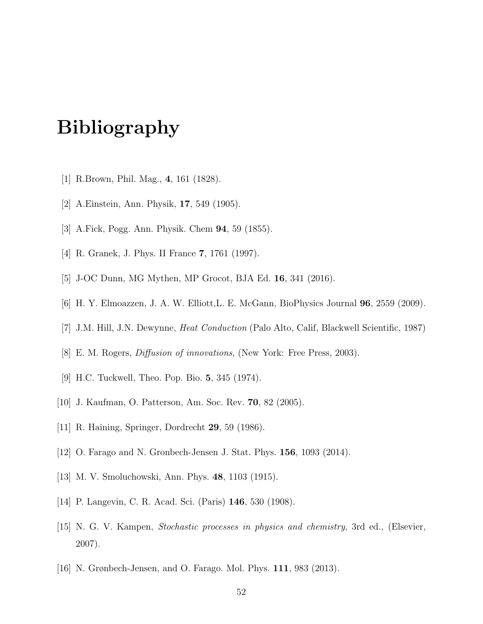# Bibliography

- [1] R.Brown, Phil. Mag., 4, 161 (1828).
- [2] A.Einstein, Ann. Physik, 17, 549 (1905).
- [3] A.Fick, Pogg. Ann. Physik. Chem 94, 59 (1855).
- [4] R. Granek, J. Phys. II France 7, 1761 (1997).
- [5] J-OC Dunn, MG Mythen, MP Grocot, BJA Ed. 16, 341 (2016).
- [6] H. Y. Elmoazzen, J. A. W. Elliott,L. E. McGann, BioPhysics Journal 96, 2559 (2009).
- [7] J.M. Hill, J.N. Dewynne, Heat Conduction (Palo Alto, Calif, Blackwell Scientific, 1987)
- [8] E. M. Rogers, Diffusion of innovations, (New York: Free Press, 2003).
- [9] H.C. Tuckwell, Theo. Pop. Bio. 5, 345 (1974).
- [10] J. Kaufman, O. Patterson, Am. Soc. Rev. 70, 82 (2005).
- [11] R. Haining, Springer, Dordrecht 29, 59 (1986).
- [12] O. Farago and N. Gronbech-Jensen J. Stat. Phys. 156, 1093 (2014).
- [13] M. V. Smoluchowski, Ann. Phys. 48, 1103 (1915).
- [14] P. Langevin, C. R. Acad. Sci. (Paris) 146, 530 (1908).
- [15] N. G. V. Kampen, Stochastic processes in physics and chemistry, 3rd ed., (Elsevier, 2007).
- [16] N. Grønbech-Jensen, and O. Farago. Mol. Phys. 111, 983 (2013).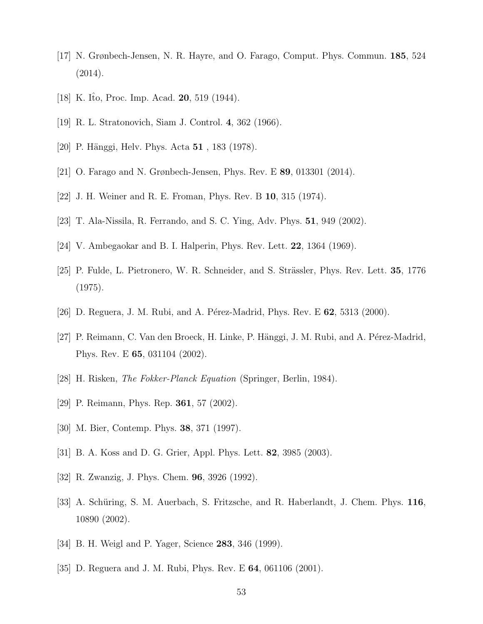- [17] N. Grønbech-Jensen, N. R. Hayre, and O. Farago, Comput. Phys. Commun. 185, 524 (2014).
- [18] K. Ito, Proc. Imp. Acad.  $20, 519$  (1944).
- [19] R. L. Stratonovich, Siam J. Control. 4, 362 (1966).
- [20] P. Hänggi, Helv. Phys. Acta 51, 183 (1978).
- [21] O. Farago and N. Grønbech-Jensen, Phys. Rev. E 89, 013301 (2014).
- [22] J. H. Weiner and R. E. Froman, Phys. Rev. B 10, 315 (1974).
- [23] T. Ala-Nissila, R. Ferrando, and S. C. Ying, Adv. Phys. 51, 949 (2002).
- [24] V. Ambegaokar and B. I. Halperin, Phys. Rev. Lett. 22, 1364 (1969).
- [25] P. Fulde, L. Pietronero, W. R. Schneider, and S. Strässler, Phys. Rev. Lett. 35, 1776 (1975).
- [26] D. Reguera, J. M. Rubi, and A. Pérez-Madrid, Phys. Rev. E  $62$ , 5313 (2000).
- [27] P. Reimann, C. Van den Broeck, H. Linke, P. Hänggi, J. M. Rubi, and A. Pérez-Madrid, Phys. Rev. E 65, 031104 (2002).
- [28] H. Risken, The Fokker-Planck Equation (Springer, Berlin, 1984).
- [29] P. Reimann, Phys. Rep. **361**, 57 (2002).
- [30] M. Bier, Contemp. Phys. 38, 371 (1997).
- [31] B. A. Koss and D. G. Grier, Appl. Phys. Lett. 82, 3985 (2003).
- [32] R. Zwanzig, J. Phys. Chem. 96, 3926 (1992).
- [33] A. Schüring, S. M. Auerbach, S. Fritzsche, and R. Haberlandt, J. Chem. Phys. 116, 10890 (2002).
- [34] B. H. Weigl and P. Yager, Science **283**, 346 (1999).
- [35] D. Reguera and J. M. Rubi, Phys. Rev. E 64, 061106 (2001).